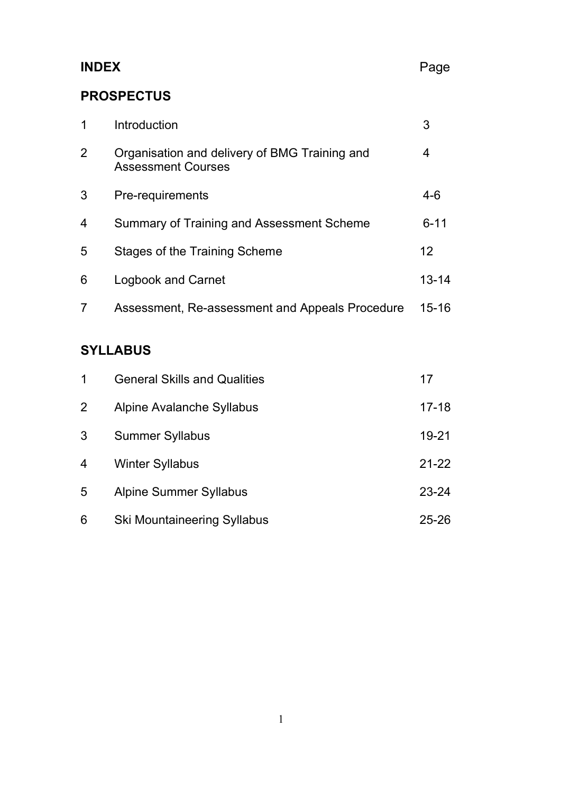# **INDEX** Page

# **PROSPECTUS**

|   | Introduction                                                               | 3         |
|---|----------------------------------------------------------------------------|-----------|
| 2 | Organisation and delivery of BMG Training and<br><b>Assessment Courses</b> | 4         |
| 3 | Pre-requirements                                                           | $4-6$     |
| 4 | Summary of Training and Assessment Scheme                                  | $6 - 11$  |
| 5 | Stages of the Training Scheme                                              | 12        |
| 6 | <b>Logbook and Carnet</b>                                                  | $13 - 14$ |
|   | Assessment, Re-assessment and Appeals Procedure                            | $15 - 16$ |

# **SYLLABUS**

| 1              | <b>General Skills and Qualities</b> | 17        |
|----------------|-------------------------------------|-----------|
| $\overline{2}$ | Alpine Avalanche Syllabus           | $17 - 18$ |
| 3              | <b>Summer Syllabus</b>              | $19 - 21$ |
| 4              | <b>Winter Syllabus</b>              | $21 - 22$ |
| 5              | <b>Alpine Summer Syllabus</b>       | $23 - 24$ |
| 6              | <b>Ski Mountaineering Syllabus</b>  | $25 - 26$ |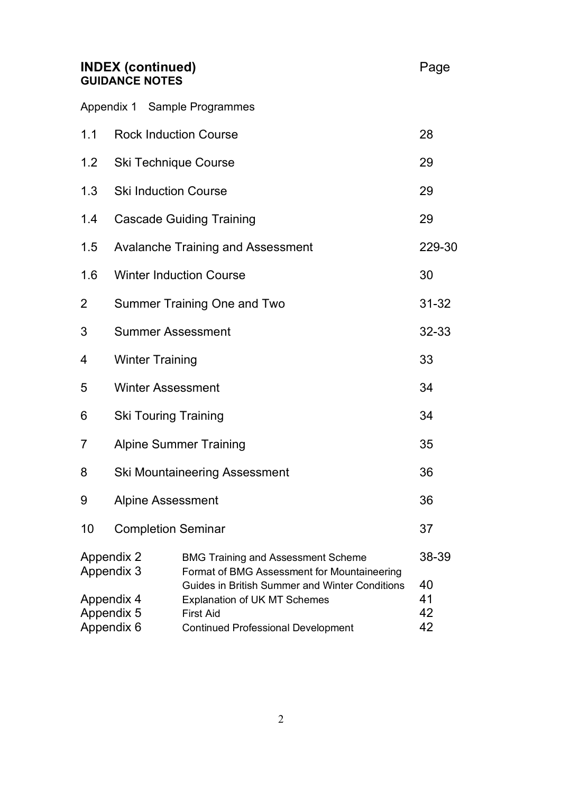#### **INDEX (continued)** And **Page** Page **GUIDANCE NOTES**

|                                                                                                                             |                              | Appendix 1 Sample Programmes                   |           |
|-----------------------------------------------------------------------------------------------------------------------------|------------------------------|------------------------------------------------|-----------|
| 1.1                                                                                                                         | <b>Rock Induction Course</b> |                                                | 28        |
| 1.2                                                                                                                         | <b>Ski Technique Course</b>  |                                                | 29        |
| 1.3                                                                                                                         | <b>Ski Induction Course</b>  |                                                | 29        |
| 1.4                                                                                                                         |                              | <b>Cascade Guiding Training</b>                | 29        |
| 1.5                                                                                                                         |                              | <b>Avalanche Training and Assessment</b>       | 229-30    |
| 1.6                                                                                                                         |                              | <b>Winter Induction Course</b>                 | 30        |
| 2                                                                                                                           |                              | <b>Summer Training One and Two</b>             | $31 - 32$ |
| 3                                                                                                                           | <b>Summer Assessment</b>     |                                                | 32-33     |
| 4                                                                                                                           | <b>Winter Training</b>       |                                                | 33        |
| 5                                                                                                                           | <b>Winter Assessment</b>     |                                                | 34        |
| 6                                                                                                                           | <b>Ski Touring Training</b>  |                                                | 34        |
| 7                                                                                                                           |                              | <b>Alpine Summer Training</b>                  | 35        |
| 8                                                                                                                           |                              | <b>Ski Mountaineering Assessment</b>           | 36        |
| 9                                                                                                                           | <b>Alpine Assessment</b>     |                                                | 36        |
| 10                                                                                                                          | <b>Completion Seminar</b>    |                                                | 37        |
| <b>Appendix 2</b><br><b>BMG Training and Assessment Scheme</b><br>Appendix 3<br>Format of BMG Assessment for Mountaineering |                              |                                                | 38-39     |
|                                                                                                                             |                              | Guides in British Summer and Winter Conditions | 40        |

| Appendix 5 | <b>First Aid</b>                          | 42 |
|------------|-------------------------------------------|----|
| Appendix 6 | <b>Continued Professional Development</b> | 42 |
|            |                                           |    |
|            |                                           |    |

Appendix 4 Explanation of UK MT Schemes 41<br>Appendix 5 First Aid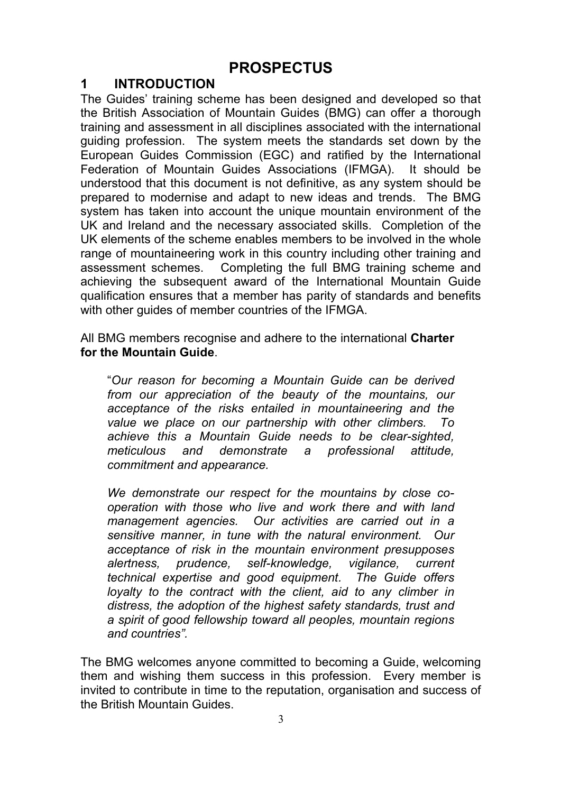# **PROSPECTUS**

### **1 INTRODUCTION**

The Guides' training scheme has been designed and developed so that the British Association of Mountain Guides (BMG) can offer a thorough training and assessment in all disciplines associated with the international guiding profession. The system meets the standards set down by the European Guides Commission (EGC) and ratified by the International Federation of Mountain Guides Associations (IFMGA). It should be understood that this document is not definitive, as any system should be prepared to modernise and adapt to new ideas and trends. The BMG system has taken into account the unique mountain environment of the UK and Ireland and the necessary associated skills. Completion of the UK elements of the scheme enables members to be involved in the whole range of mountaineering work in this country including other training and assessment schemes. Completing the full BMG training scheme and achieving the subsequent award of the International Mountain Guide qualification ensures that a member has parity of standards and benefits with other guides of member countries of the IFMGA.

All BMG members recognise and adhere to the international **Charter for the Mountain Guide**.

"*Our reason for becoming a Mountain Guide can be derived from our appreciation of the beauty of the mountains, our acceptance of the risks entailed in mountaineering and the value we place on our partnership with other climbers. To achieve this a Mountain Guide needs to be clear-sighted, meticulous and demonstrate a professional attitude, commitment and appearance.*

*We demonstrate our respect for the mountains by close cooperation with those who live and work there and with land management agencies. Our activities are carried out in a sensitive manner, in tune with the natural environment. Our acceptance of risk in the mountain environment presupposes alertness, prudence, self-knowledge, vigilance, current technical expertise and good equipment. The Guide offers loyalty to the contract with the client, aid to any climber in distress, the adoption of the highest safety standards, trust and a spirit of good fellowship toward all peoples, mountain regions and countries".*

The BMG welcomes anyone committed to becoming a Guide, welcoming them and wishing them success in this profession. Every member is invited to contribute in time to the reputation, organisation and success of the British Mountain Guides.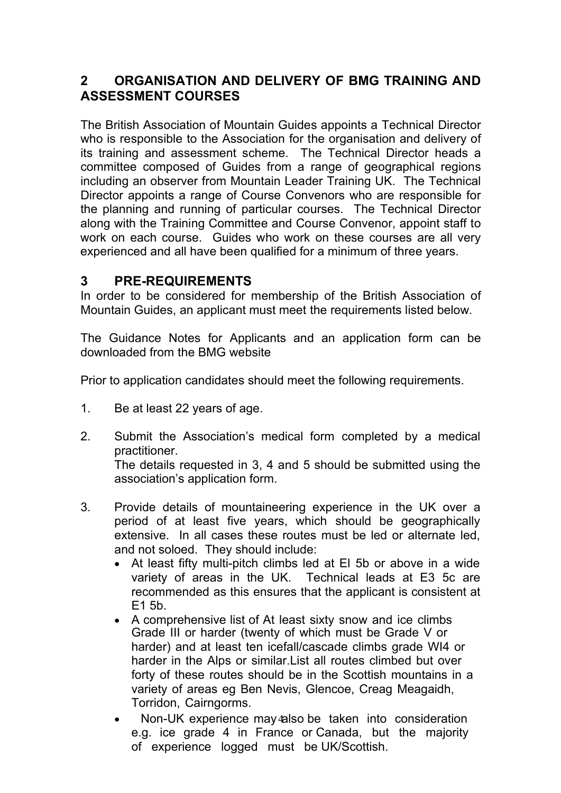# **2 ORGANISATION AND DELIVERY OF BMG TRAINING AND ASSESSMENT COURSES**

The British Association of Mountain Guides appoints a Technical Director who is responsible to the Association for the organisation and delivery of its training and assessment scheme. The Technical Director heads a committee composed of Guides from a range of geographical regions including an observer from Mountain Leader Training UK. The Technical Director appoints a range of Course Convenors who are responsible for the planning and running of particular courses. The Technical Director along with the Training Committee and Course Convenor, appoint staff to work on each course. Guides who work on these courses are all very experienced and all have been qualified for a minimum of three years.

# **3 PRE-REQUIREMENTS**

In order to be considered for membership of the British Association of Mountain Guides, an applicant must meet the requirements listed below.

The Guidance Notes for Applicants and an application form can be downloaded from the BMG website

Prior to application candidates should meet the following requirements.

- 1. Be at least 22 years of age.
- 2. Submit the Association's medical form completed by a medical practitioner. The details requested in 3, 4 and 5 should be submitted using the

association's application form.

- 3. Provide details of mountaineering experience in the UK over a period of at least five years, which should be geographically extensive. In all cases these routes must be led or alternate led, and not soloed. They should include:
	- At least fifty multi-pitch climbs led at El 5b or above in a wide variety of areas in the UK. Technical leads at E3 5c are recommended as this ensures that the applicant is consistent at E1 5b.
	- A comprehensive list of At least sixty snow and ice climbs Grade III or harder (twenty of which must be Grade V or harder) and at least ten icefall/cascade climbs grade WI4 or harder in the Alps or similar.List all routes climbed but over forty of these routes should be in the Scottish mountains in a variety of areas eg Ben Nevis, Glencoe, Creag Meagaidh, Torridon, Cairngorms.
	- Non-UK experience may also be taken into consideration e.g. ice grade 4 in France or Canada, but the majority of experience logged must be UK/Scottish.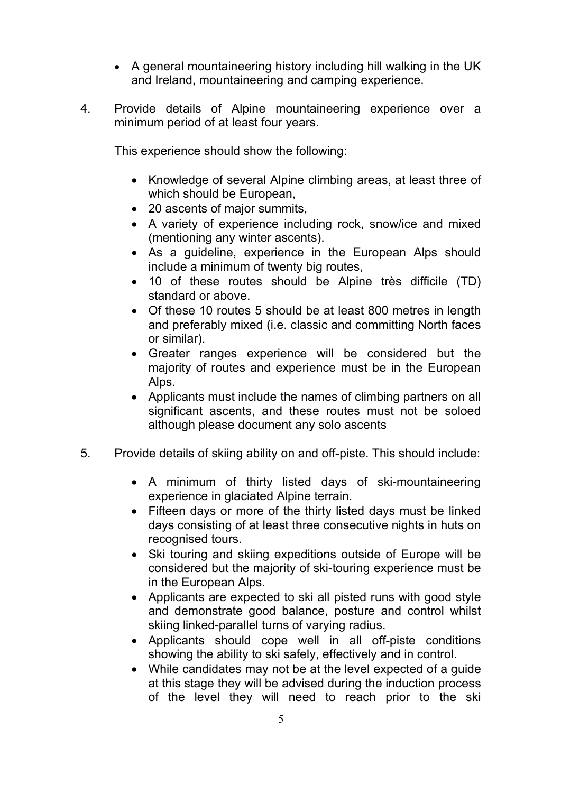- A general mountaineering history including hill walking in the UK and Ireland, mountaineering and camping experience.
- 4. Provide details of Alpine mountaineering experience over a minimum period of at least four years.

This experience should show the following:

- Knowledge of several Alpine climbing areas, at least three of which should be European.
- 20 ascents of major summits,
- A variety of experience including rock, snow/ice and mixed (mentioning any winter ascents).
- As a guideline, experience in the European Alps should include a minimum of twenty big routes,
- 10 of these routes should be Alpine très difficile (TD) standard or above.
- Of these 10 routes 5 should be at least 800 metres in length and preferably mixed (i.e. classic and committing North faces or similar).
- Greater ranges experience will be considered but the majority of routes and experience must be in the European Alps.
- Applicants must include the names of climbing partners on all significant ascents, and these routes must not be soloed although please document any solo ascents
- 5. Provide details of skiing ability on and off-piste. This should include:
	- A minimum of thirty listed days of ski-mountaineering experience in glaciated Alpine terrain.
	- Fifteen days or more of the thirty listed days must be linked days consisting of at least three consecutive nights in huts on recognised tours.
	- Ski touring and skiing expeditions outside of Europe will be considered but the majority of ski-touring experience must be in the European Alps.
	- Applicants are expected to ski all pisted runs with good style and demonstrate good balance, posture and control whilst skiing linked-parallel turns of varying radius.
	- Applicants should cope well in all off-piste conditions showing the ability to ski safely, effectively and in control.
	- While candidates may not be at the level expected of a guide at this stage they will be advised during the induction process of the level they will need to reach prior to the ski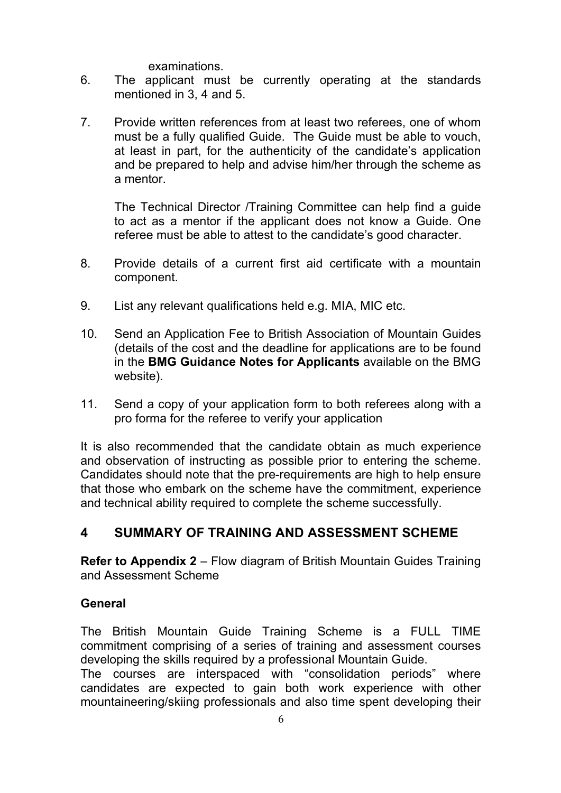#### examinations.

- 6. The applicant must be currently operating at the standards mentioned in 3, 4 and 5.
- 7. Provide written references from at least two referees, one of whom must be a fully qualified Guide. The Guide must be able to vouch, at least in part, for the authenticity of the candidate's application and be prepared to help and advise him/her through the scheme as a mentor.

The Technical Director /Training Committee can help find a guide to act as a mentor if the applicant does not know a Guide. One referee must be able to attest to the candidate's good character.

- 8. Provide details of a current first aid certificate with a mountain component.
- 9. List any relevant qualifications held e.g. MIA, MIC etc.
- 10. Send an Application Fee to British Association of Mountain Guides (details of the cost and the deadline for applications are to be found in the **BMG Guidance Notes for Applicants** available on the BMG website).
- 11. Send a copy of your application form to both referees along with a pro forma for the referee to verify your application

It is also recommended that the candidate obtain as much experience and observation of instructing as possible prior to entering the scheme. Candidates should note that the pre-requirements are high to help ensure that those who embark on the scheme have the commitment, experience and technical ability required to complete the scheme successfully.

# **4 SUMMARY OF TRAINING AND ASSESSMENT SCHEME**

**Refer to Appendix 2 – Flow diagram of British Mountain Guides Training** and Assessment Scheme

#### **General**

The British Mountain Guide Training Scheme is a FULL TIME commitment comprising of a series of training and assessment courses developing the skills required by a professional Mountain Guide.

The courses are interspaced with "consolidation periods" where candidates are expected to gain both work experience with other mountaineering/skiing professionals and also time spent developing their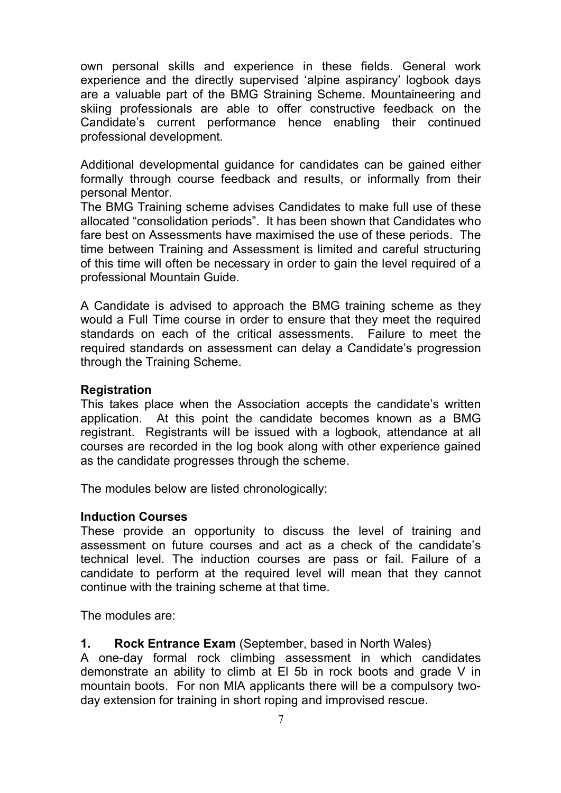own personal skills and experience in these fields. General work experience and the directly supervised 'alpine aspirancy' logbook days are a valuable part of the BMG Straining Scheme. Mountaineering and skiing professionals are able to offer constructive feedback on the Candidate's current performance hence enabling their continued professional development.

Additional developmental guidance for candidates can be gained either formally through course feedback and results, or informally from their personal Mentor.

The BMG Training scheme advises Candidates to make full use of these allocated "consolidation periods". It has been shown that Candidates who fare best on Assessments have maximised the use of these periods. The time between Training and Assessment is limited and careful structuring of this time will often be necessary in order to gain the level required of a professional Mountain Guide.

A Candidate is advised to approach the BMG training scheme as they would a Full Time course in order to ensure that they meet the required standards on each of the critical assessments. Failure to meet the required standards on assessment can delay a Candidate's progression through the Training Scheme.

#### **Registration**

This takes place when the Association accepts the candidate's written application. At this point the candidate becomes known as a BMG registrant. Registrants will be issued with a logbook, attendance at all courses are recorded in the log book along with other experience gained as the candidate progresses through the scheme.

The modules below are listed chronologically:

#### **Induction Courses**

These provide an opportunity to discuss the level of training and assessment on future courses and act as a check of the candidate's technical level. The induction courses are pass or fail. Failure of a candidate to perform at the required level will mean that they cannot continue with the training scheme at that time.

The modules are:

#### **1. Rock Entrance Exam** (September, based in North Wales)

A one-day formal rock climbing assessment in which candidates demonstrate an ability to climb at El 5b in rock boots and grade V in mountain boots. For non MIA applicants there will be a compulsory twoday extension for training in short roping and improvised rescue.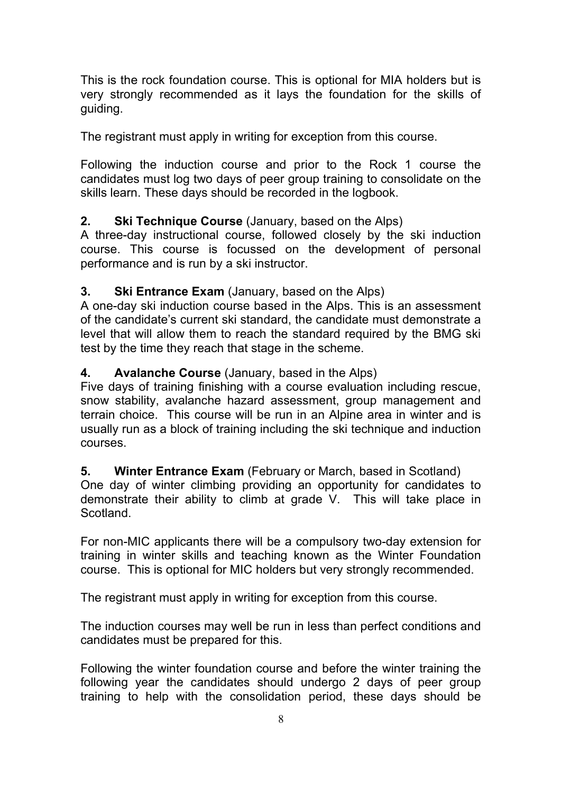This is the rock foundation course. This is optional for MIA holders but is very strongly recommended as it lays the foundation for the skills of guiding.

The registrant must apply in writing for exception from this course.

Following the induction course and prior to the Rock 1 course the candidates must log two days of peer group training to consolidate on the skills learn. These days should be recorded in the logbook.

### **2. Ski Technique Course** (January, based on the Alps)

A three-day instructional course, followed closely by the ski induction course. This course is focussed on the development of personal performance and is run by a ski instructor.

### **3. Ski Entrance Exam** (January, based on the Alps)

A one-day ski induction course based in the Alps. This is an assessment of the candidate's current ski standard, the candidate must demonstrate a level that will allow them to reach the standard required by the BMG ski test by the time they reach that stage in the scheme.

### **4. Avalanche Course** (January, based in the Alps)

Five days of training finishing with a course evaluation including rescue, snow stability, avalanche hazard assessment, group management and terrain choice. This course will be run in an Alpine area in winter and is usually run as a block of training including the ski technique and induction courses.

### **5. Winter Entrance Exam** (February or March, based in Scotland)

One day of winter climbing providing an opportunity for candidates to demonstrate their ability to climb at grade V. This will take place in Scotland.

For non-MIC applicants there will be a compulsory two-day extension for training in winter skills and teaching known as the Winter Foundation course. This is optional for MIC holders but very strongly recommended.

The registrant must apply in writing for exception from this course.

The induction courses may well be run in less than perfect conditions and candidates must be prepared for this.

Following the winter foundation course and before the winter training the following year the candidates should undergo 2 days of peer group training to help with the consolidation period, these days should be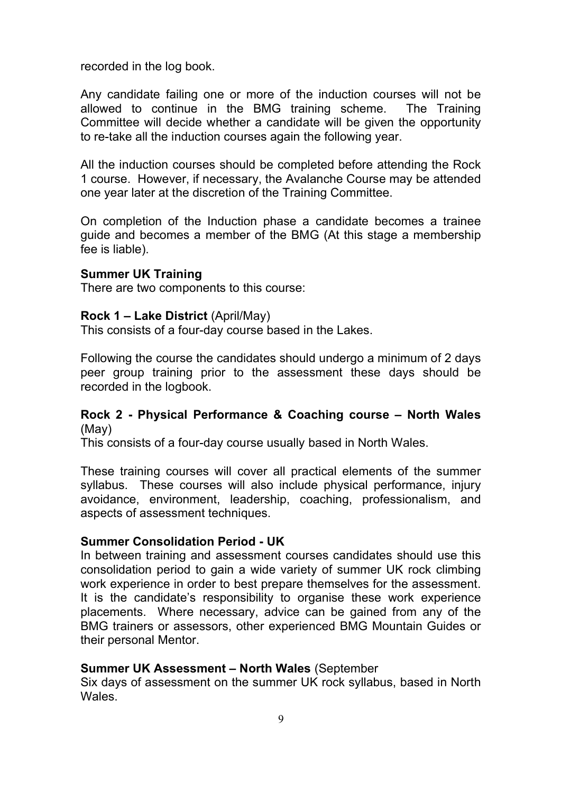recorded in the log book.

Any candidate failing one or more of the induction courses will not be allowed to continue in the BMG training scheme. The Training Committee will decide whether a candidate will be given the opportunity to re-take all the induction courses again the following year.

All the induction courses should be completed before attending the Rock 1 course. However, if necessary, the Avalanche Course may be attended one year later at the discretion of the Training Committee.

On completion of the Induction phase a candidate becomes a trainee guide and becomes a member of the BMG (At this stage a membership fee is liable).

#### **Summer UK Training**

There are two components to this course:

#### **Rock 1 – Lake District** (April/May)

This consists of a four-day course based in the Lakes.

Following the course the candidates should undergo a minimum of 2 days peer group training prior to the assessment these days should be recorded in the logbook.

#### **Rock 2 - Physical Performance & Coaching course – North Wales** (May)

This consists of a four-day course usually based in North Wales.

These training courses will cover all practical elements of the summer syllabus. These courses will also include physical performance, injury avoidance, environment, leadership, coaching, professionalism, and aspects of assessment techniques.

#### **Summer Consolidation Period - UK**

In between training and assessment courses candidates should use this consolidation period to gain a wide variety of summer UK rock climbing work experience in order to best prepare themselves for the assessment. It is the candidate's responsibility to organise these work experience placements. Where necessary, advice can be gained from any of the BMG trainers or assessors, other experienced BMG Mountain Guides or their personal Mentor.

#### **Summer UK Assessment – North Wales** (September

Six days of assessment on the summer UK rock syllabus, based in North Wales.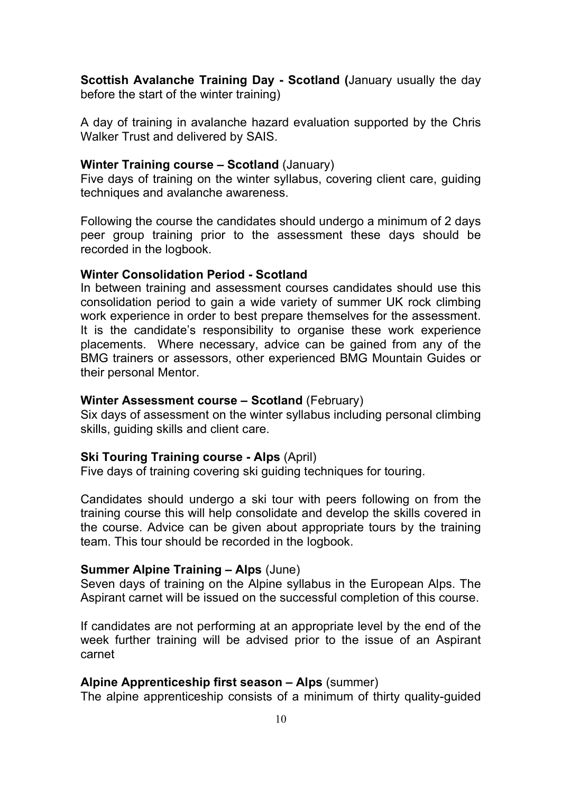**Scottish Avalanche Training Day - Scotland (**January usually the day before the start of the winter training)

A day of training in avalanche hazard evaluation supported by the Chris Walker Trust and delivered by SAIS.

#### **Winter Training course – Scotland** (January)

Five days of training on the winter syllabus, covering client care, guiding techniques and avalanche awareness.

Following the course the candidates should undergo a minimum of 2 days peer group training prior to the assessment these days should be recorded in the logbook.

#### **Winter Consolidation Period - Scotland**

In between training and assessment courses candidates should use this consolidation period to gain a wide variety of summer UK rock climbing work experience in order to best prepare themselves for the assessment. It is the candidate's responsibility to organise these work experience placements. Where necessary, advice can be gained from any of the BMG trainers or assessors, other experienced BMG Mountain Guides or their personal Mentor.

#### **Winter Assessment course – Scotland** (February)

Six days of assessment on the winter syllabus including personal climbing skills, guiding skills and client care.

#### **Ski Touring Training course - Alps** (April)

Five days of training covering ski guiding techniques for touring.

Candidates should undergo a ski tour with peers following on from the training course this will help consolidate and develop the skills covered in the course. Advice can be given about appropriate tours by the training team. This tour should be recorded in the logbook.

#### **Summer Alpine Training – Alps** (June)

Seven days of training on the Alpine syllabus in the European Alps. The Aspirant carnet will be issued on the successful completion of this course.

If candidates are not performing at an appropriate level by the end of the week further training will be advised prior to the issue of an Aspirant carnet

#### **Alpine Apprenticeship first season – Alps** (summer)

The alpine apprenticeship consists of a minimum of thirty quality-guided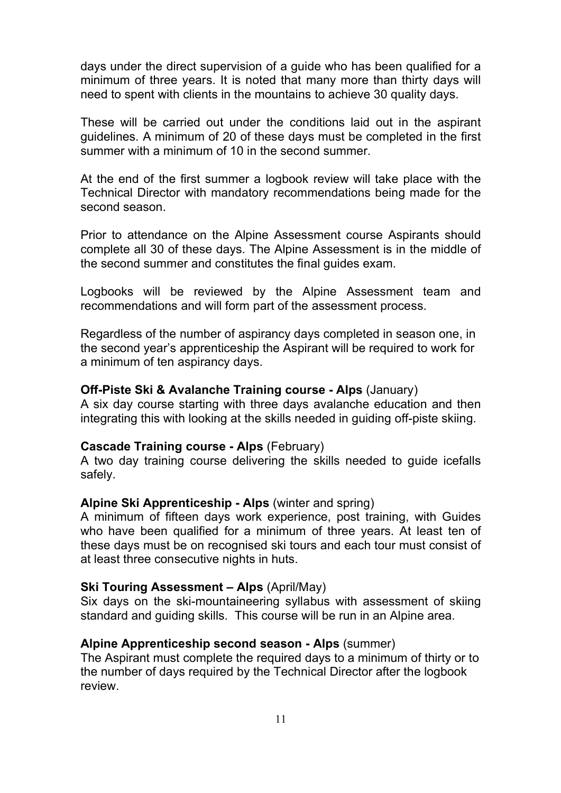days under the direct supervision of a guide who has been qualified for a minimum of three years. It is noted that many more than thirty days will need to spent with clients in the mountains to achieve 30 quality days.

These will be carried out under the conditions laid out in the aspirant guidelines. A minimum of 20 of these days must be completed in the first summer with a minimum of 10 in the second summer.

At the end of the first summer a logbook review will take place with the Technical Director with mandatory recommendations being made for the second season.

Prior to attendance on the Alpine Assessment course Aspirants should complete all 30 of these days. The Alpine Assessment is in the middle of the second summer and constitutes the final guides exam.

Logbooks will be reviewed by the Alpine Assessment team and recommendations and will form part of the assessment process.

Regardless of the number of aspirancy days completed in season one, in the second year's apprenticeship the Aspirant will be required to work for a minimum of ten aspirancy days.

#### **Off-Piste Ski & Avalanche Training course - Alps** (January)

A six day course starting with three days avalanche education and then integrating this with looking at the skills needed in guiding off-piste skiing.

#### **Cascade Training course - Alps** (February)

A two day training course delivering the skills needed to guide icefalls safely.

#### **Alpine Ski Apprenticeship - Alps** (winter and spring)

A minimum of fifteen days work experience, post training, with Guides who have been qualified for a minimum of three years. At least ten of these days must be on recognised ski tours and each tour must consist of at least three consecutive nights in huts.

#### **Ski Touring Assessment – Alps** (April/May)

Six days on the ski-mountaineering syllabus with assessment of skiing standard and guiding skills. This course will be run in an Alpine area.

#### **Alpine Apprenticeship second season - Alps** (summer)

The Aspirant must complete the required days to a minimum of thirty or to the number of days required by the Technical Director after the logbook review.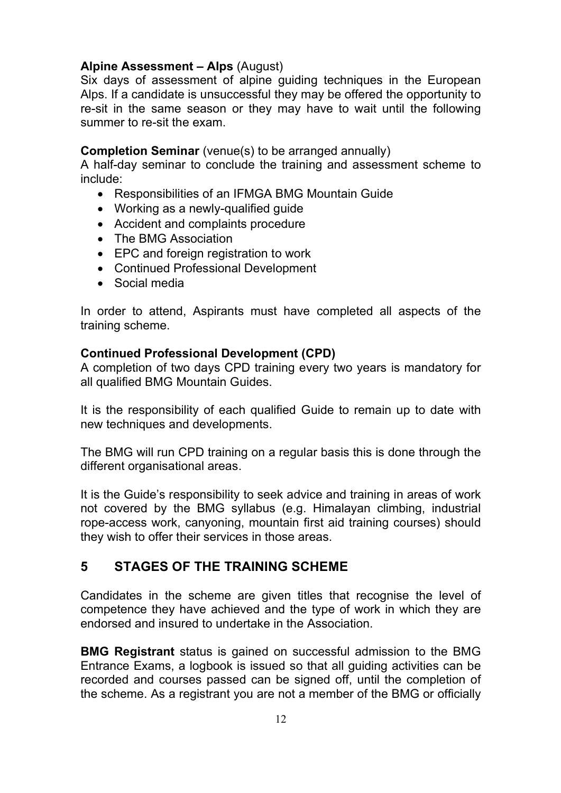#### **Alpine Assessment – Alps** (August)

Six days of assessment of alpine guiding techniques in the European Alps. If a candidate is unsuccessful they may be offered the opportunity to re-sit in the same season or they may have to wait until the following summer to re-sit the exam.

#### **Completion Seminar** (venue(s) to be arranged annually)

A half-day seminar to conclude the training and assessment scheme to include:

- Responsibilities of an IFMGA BMG Mountain Guide
- Working as a newly-qualified guide
- Accident and complaints procedure
- The BMG Association
- EPC and foreign registration to work
- Continued Professional Development
- Social media

In order to attend, Aspirants must have completed all aspects of the training scheme.

#### **Continued Professional Development (CPD)**

A completion of two days CPD training every two years is mandatory for all qualified BMG Mountain Guides.

It is the responsibility of each qualified Guide to remain up to date with new techniques and developments.

The BMG will run CPD training on a regular basis this is done through the different organisational areas.

It is the Guide's responsibility to seek advice and training in areas of work not covered by the BMG syllabus (e.g. Himalayan climbing, industrial rope-access work, canyoning, mountain first aid training courses) should they wish to offer their services in those areas.

# **5 STAGES OF THE TRAINING SCHEME**

Candidates in the scheme are given titles that recognise the level of competence they have achieved and the type of work in which they are endorsed and insured to undertake in the Association.

**BMG Registrant** status is gained on successful admission to the BMG Entrance Exams, a logbook is issued so that all guiding activities can be recorded and courses passed can be signed off, until the completion of the scheme. As a registrant you are not a member of the BMG or officially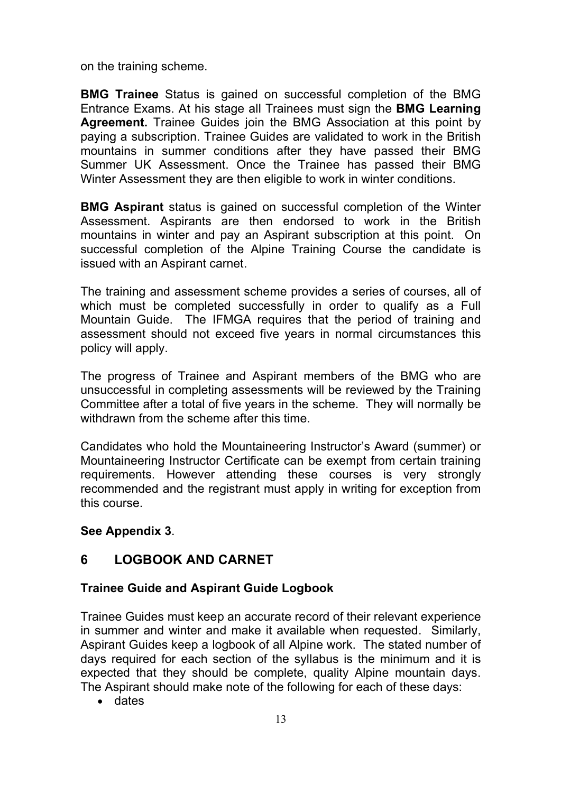on the training scheme.

**BMG Trainee** Status is gained on successful completion of the BMG Entrance Exams. At his stage all Trainees must sign the **BMG Learning Agreement.** Trainee Guides join the BMG Association at this point by paying a subscription. Trainee Guides are validated to work in the British mountains in summer conditions after they have passed their BMG Summer UK Assessment. Once the Trainee has passed their BMG Winter Assessment they are then eligible to work in winter conditions.

**BMG Aspirant** status is gained on successful completion of the Winter Assessment. Aspirants are then endorsed to work in the British mountains in winter and pay an Aspirant subscription at this point. On successful completion of the Alpine Training Course the candidate is issued with an Aspirant carnet.

The training and assessment scheme provides a series of courses, all of which must be completed successfully in order to qualify as a Full Mountain Guide. The IFMGA requires that the period of training and assessment should not exceed five years in normal circumstances this policy will apply.

The progress of Trainee and Aspirant members of the BMG who are unsuccessful in completing assessments will be reviewed by the Training Committee after a total of five years in the scheme. They will normally be withdrawn from the scheme after this time.

Candidates who hold the Mountaineering Instructor's Award (summer) or Mountaineering Instructor Certificate can be exempt from certain training requirements. However attending these courses is very strongly recommended and the registrant must apply in writing for exception from this course.

**See Appendix 3**.

# **6 LOGBOOK AND CARNET**

### **Trainee Guide and Aspirant Guide Logbook**

Trainee Guides must keep an accurate record of their relevant experience in summer and winter and make it available when requested. Similarly, Aspirant Guides keep a logbook of all Alpine work. The stated number of days required for each section of the syllabus is the minimum and it is expected that they should be complete, quality Alpine mountain days. The Aspirant should make note of the following for each of these days:

• dates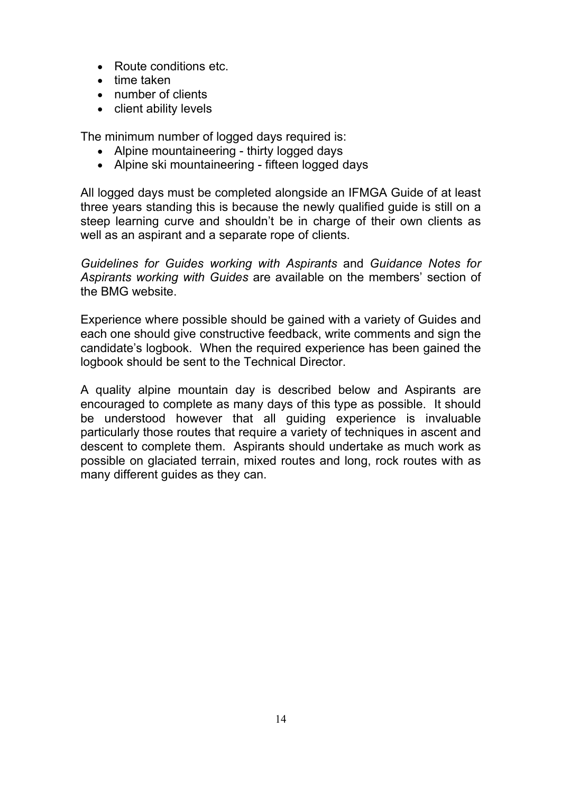- Route conditions etc.
- time taken
- number of clients
- client ability levels

The minimum number of logged days required is:

- Alpine mountaineering thirty logged days
- Alpine ski mountaineering fifteen logged days

All logged days must be completed alongside an IFMGA Guide of at least three years standing this is because the newly qualified guide is still on a steep learning curve and shouldn't be in charge of their own clients as well as an aspirant and a separate rope of clients.

*Guidelines for Guides working with Aspirants* and *Guidance Notes for Aspirants working with Guides* are available on the members' section of the BMG website.

Experience where possible should be gained with a variety of Guides and each one should give constructive feedback, write comments and sign the candidate's logbook. When the required experience has been gained the logbook should be sent to the Technical Director.

A quality alpine mountain day is described below and Aspirants are encouraged to complete as many days of this type as possible. It should be understood however that all guiding experience is invaluable particularly those routes that require a variety of techniques in ascent and descent to complete them. Aspirants should undertake as much work as possible on glaciated terrain, mixed routes and long, rock routes with as many different guides as they can.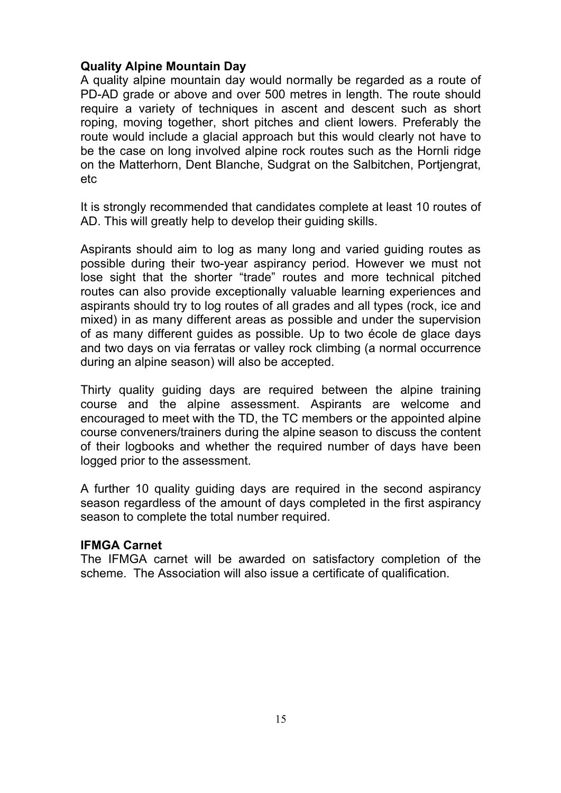#### **Quality Alpine Mountain Day**

A quality alpine mountain day would normally be regarded as a route of PD-AD grade or above and over 500 metres in length. The route should require a variety of techniques in ascent and descent such as short roping, moving together, short pitches and client lowers. Preferably the route would include a glacial approach but this would clearly not have to be the case on long involved alpine rock routes such as the Hornli ridge on the Matterhorn, Dent Blanche, Sudgrat on the Salbitchen, Portjengrat, etc

It is strongly recommended that candidates complete at least 10 routes of AD. This will greatly help to develop their guiding skills.

Aspirants should aim to log as many long and varied guiding routes as possible during their two-year aspirancy period. However we must not lose sight that the shorter "trade" routes and more technical pitched routes can also provide exceptionally valuable learning experiences and aspirants should try to log routes of all grades and all types (rock, ice and mixed) in as many different areas as possible and under the supervision of as many different guides as possible. Up to two école de glace days and two days on via ferratas or valley rock climbing (a normal occurrence during an alpine season) will also be accepted.

Thirty quality guiding days are required between the alpine training course and the alpine assessment. Aspirants are welcome and encouraged to meet with the TD, the TC members or the appointed alpine course conveners/trainers during the alpine season to discuss the content of their logbooks and whether the required number of days have been logged prior to the assessment.

A further 10 quality guiding days are required in the second aspirancy season regardless of the amount of days completed in the first aspirancy season to complete the total number required.

#### **IFMGA Carnet**

The IFMGA carnet will be awarded on satisfactory completion of the scheme. The Association will also issue a certificate of qualification.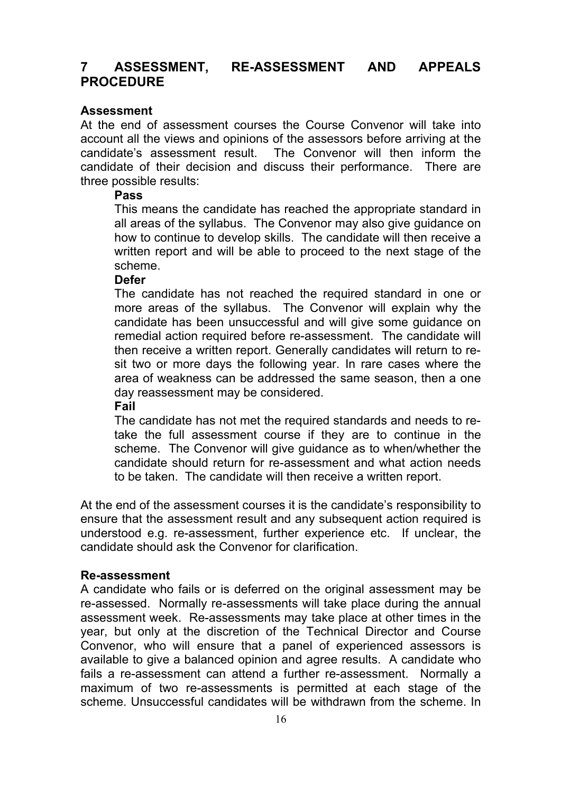### **7 ASSESSMENT, RE-ASSESSMENT AND APPEALS PROCEDURE**

#### **Assessment**

At the end of assessment courses the Course Convenor will take into account all the views and opinions of the assessors before arriving at the candidate's assessment result. The Convenor will then inform the candidate of their decision and discuss their performance. There are three possible results:

#### **Pass**

This means the candidate has reached the appropriate standard in all areas of the syllabus. The Convenor may also give guidance on how to continue to develop skills. The candidate will then receive a written report and will be able to proceed to the next stage of the scheme.

#### **Defer**

The candidate has not reached the required standard in one or more areas of the syllabus. The Convenor will explain why the candidate has been unsuccessful and will give some guidance on remedial action required before re-assessment. The candidate will then receive a written report. Generally candidates will return to resit two or more days the following year. In rare cases where the area of weakness can be addressed the same season, then a one day reassessment may be considered.

**Fail**

The candidate has not met the required standards and needs to retake the full assessment course if they are to continue in the scheme. The Convenor will give guidance as to when/whether the candidate should return for re-assessment and what action needs to be taken. The candidate will then receive a written report.

At the end of the assessment courses it is the candidate's responsibility to ensure that the assessment result and any subsequent action required is understood e.g. re-assessment, further experience etc. If unclear, the candidate should ask the Convenor for clarification.

#### **Re-assessment**

A candidate who fails or is deferred on the original assessment may be re-assessed. Normally re-assessments will take place during the annual assessment week. Re-assessments may take place at other times in the year, but only at the discretion of the Technical Director and Course Convenor, who will ensure that a panel of experienced assessors is available to give a balanced opinion and agree results. A candidate who fails a re-assessment can attend a further re-assessment. Normally a maximum of two re-assessments is permitted at each stage of the scheme. Unsuccessful candidates will be withdrawn from the scheme. In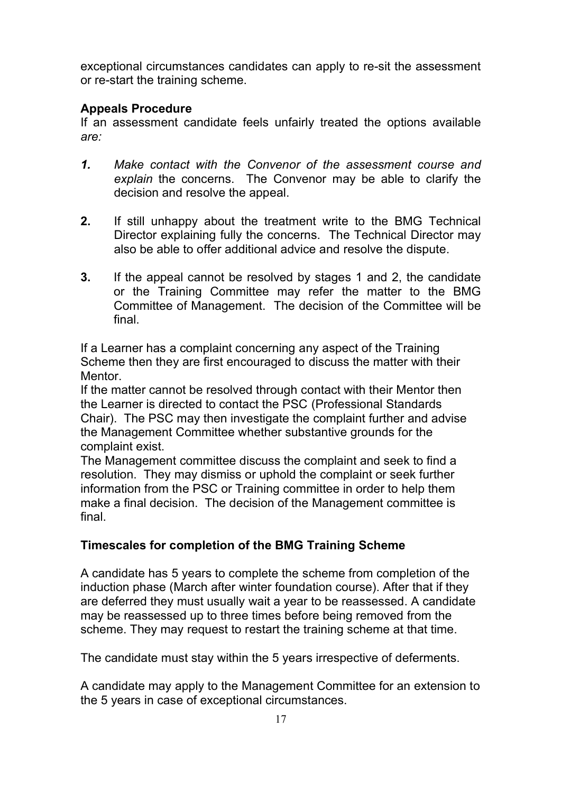exceptional circumstances candidates can apply to re-sit the assessment or re-start the training scheme.

#### **Appeals Procedure**

If an assessment candidate feels unfairly treated the options available *are:*

- *1. Make contact with the Convenor of the assessment course and explain* the concerns. The Convenor may be able to clarify the decision and resolve the appeal.
- **2.** If still unhappy about the treatment write to the BMG Technical Director explaining fully the concerns. The Technical Director may also be able to offer additional advice and resolve the dispute.
- **3.** If the appeal cannot be resolved by stages 1 and 2, the candidate or the Training Committee may refer the matter to the BMG Committee of Management. The decision of the Committee will be final.

If a Learner has a complaint concerning any aspect of the Training Scheme then they are first encouraged to discuss the matter with their Mentor.

If the matter cannot be resolved through contact with their Mentor then the Learner is directed to contact the PSC (Professional Standards Chair). The PSC may then investigate the complaint further and advise the Management Committee whether substantive grounds for the complaint exist.

The Management committee discuss the complaint and seek to find a resolution. They may dismiss or uphold the complaint or seek further information from the PSC or Training committee in order to help them make a final decision. The decision of the Management committee is final.

### **Timescales for completion of the BMG Training Scheme**

A candidate has 5 years to complete the scheme from completion of the induction phase (March after winter foundation course). After that if they are deferred they must usually wait a year to be reassessed. A candidate may be reassessed up to three times before being removed from the scheme. They may request to restart the training scheme at that time.

The candidate must stay within the 5 years irrespective of deferments.

A candidate may apply to the Management Committee for an extension to the 5 years in case of exceptional circumstances.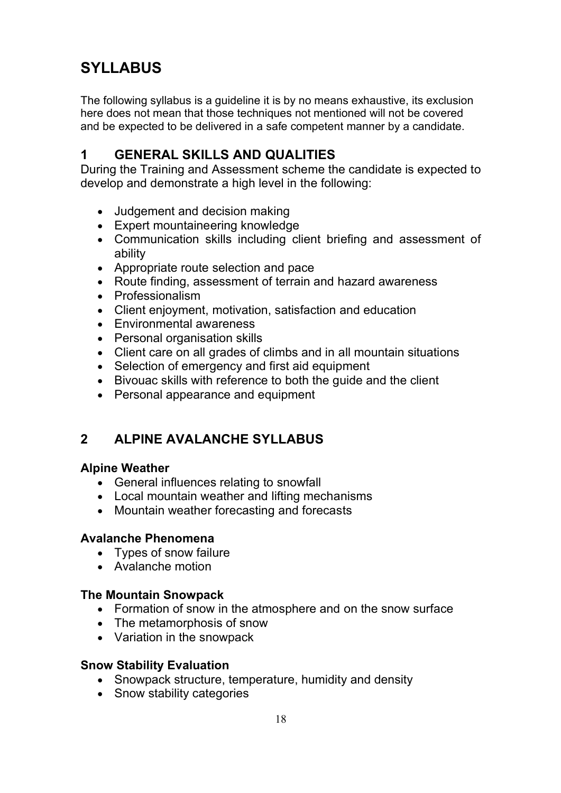# **SYLLABUS**

The following syllabus is a guideline it is by no means exhaustive, its exclusion here does not mean that those techniques not mentioned will not be covered and be expected to be delivered in a safe competent manner by a candidate.

# **1 GENERAL SKILLS AND QUALITIES**

During the Training and Assessment scheme the candidate is expected to develop and demonstrate a high level in the following:

- Judgement and decision making
- Expert mountaineering knowledge
- Communication skills including client briefing and assessment of ability
- Appropriate route selection and pace
- Route finding, assessment of terrain and hazard awareness
- Professionalism
- Client enjoyment, motivation, satisfaction and education
- Environmental awareness
- Personal organisation skills
- Client care on all grades of climbs and in all mountain situations
- Selection of emergency and first aid equipment
- Bivouac skills with reference to both the guide and the client
- Personal appearance and equipment

# **2 ALPINE AVALANCHE SYLLABUS**

#### **Alpine Weather**

- General influences relating to snowfall
- Local mountain weather and lifting mechanisms
- Mountain weather forecasting and forecasts

#### **Avalanche Phenomena**

- Types of snow failure
- Avalanche motion

#### **The Mountain Snowpack**

- Formation of snow in the atmosphere and on the snow surface
- The metamorphosis of snow
- Variation in the snowpack

#### **Snow Stability Evaluation**

- Snowpack structure, temperature, humidity and density
- Snow stability categories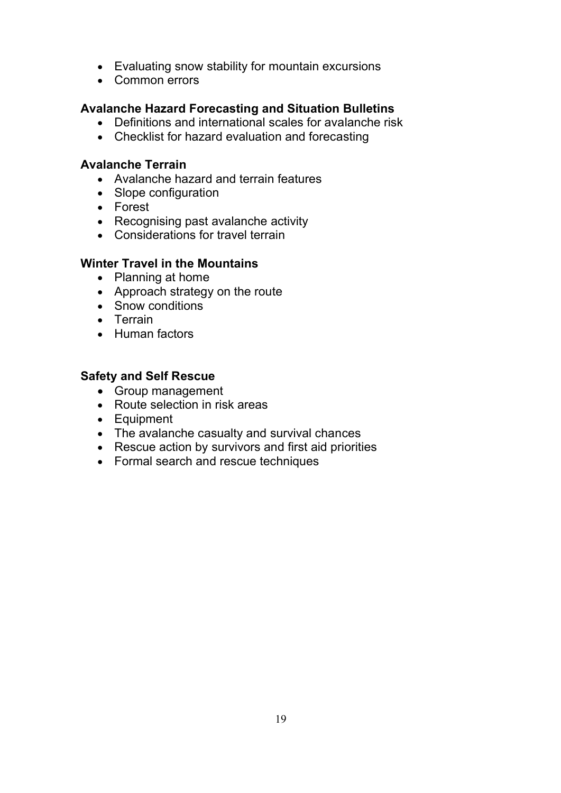- Evaluating snow stability for mountain excursions
- Common errors

### **Avalanche Hazard Forecasting and Situation Bulletins**

- Definitions and international scales for avalanche risk
- Checklist for hazard evaluation and forecasting

#### **Avalanche Terrain**

- Avalanche hazard and terrain features
- Slope configuration
- Forest
- Recognising past avalanche activity
- Considerations for travel terrain

#### **Winter Travel in the Mountains**

- Planning at home
- Approach strategy on the route
- Snow conditions
- Terrain
- Human factors

### **Safety and Self Rescue**

- Group management
- Route selection in risk areas
- Equipment
- The avalanche casualty and survival chances
- Rescue action by survivors and first aid priorities
- Formal search and rescue techniques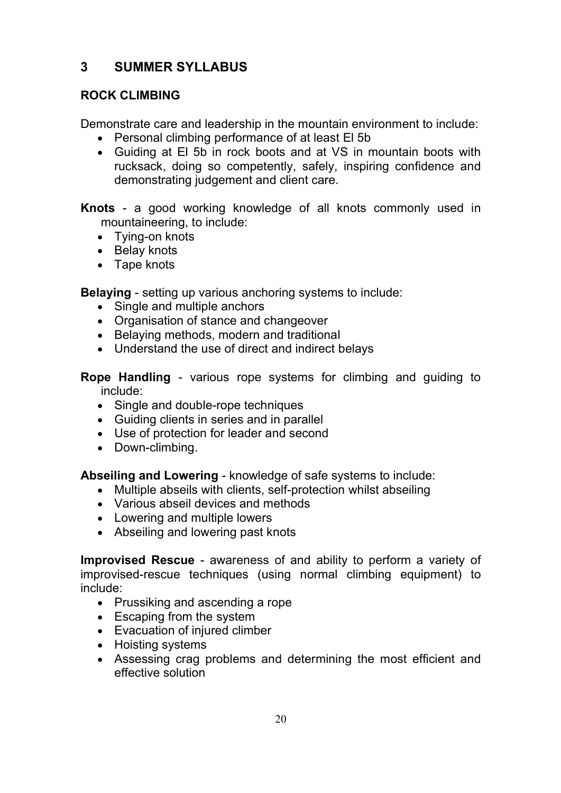# **3 SUMMER SYLLABUS**

### **ROCK CLIMBING**

Demonstrate care and leadership in the mountain environment to include:

- Personal climbing performance of at least El 5b
- Guiding at El 5b in rock boots and at VS in mountain boots with rucksack, doing so competently, safely, inspiring confidence and demonstrating judgement and client care.

**Knots** - a good working knowledge of all knots commonly used in mountaineering, to include:

- Tying-on knots
- Belay knots
- Tape knots

**Belaying** - setting up various anchoring systems to include:

- Single and multiple anchors
- Organisation of stance and changeover
- Belaying methods, modern and traditional
- Understand the use of direct and indirect belays

**Rope Handling** - various rope systems for climbing and guiding to include:

- Single and double-rope techniques
- Guiding clients in series and in parallel
- Use of protection for leader and second
- Down-climbing.

**Abseiling and Lowering** - knowledge of safe systems to include:

- Multiple abseils with clients, self-protection whilst abseiling
- Various abseil devices and methods
- Lowering and multiple lowers
- Abseiling and lowering past knots

**Improvised Rescue** - awareness of and ability to perform a variety of improvised-rescue techniques (using normal climbing equipment) to include:

- Prussiking and ascending a rope
- Escaping from the system
- Evacuation of injured climber
- Hoisting systems
- Assessing crag problems and determining the most efficient and effective solution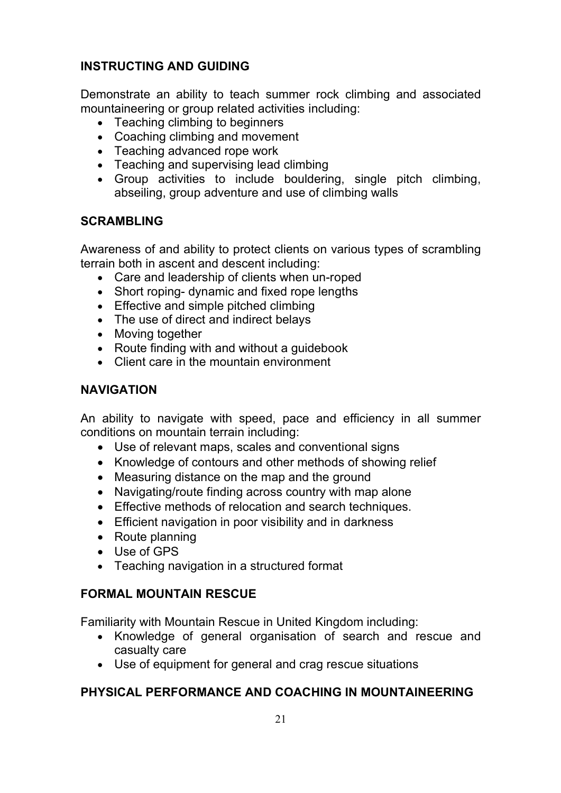### **INSTRUCTING AND GUIDING**

Demonstrate an ability to teach summer rock climbing and associated mountaineering or group related activities including:

- Teaching climbing to beginners
- Coaching climbing and movement
- Teaching advanced rope work
- Teaching and supervising lead climbing
- Group activities to include bouldering, single pitch climbing, abseiling, group adventure and use of climbing walls

#### **SCRAMBLING**

Awareness of and ability to protect clients on various types of scrambling terrain both in ascent and descent including:

- Care and leadership of clients when un-roped
- Short roping- dynamic and fixed rope lengths
- Effective and simple pitched climbing
- The use of direct and indirect belays
- Moving together
- Route finding with and without a guidebook
- Client care in the mountain environment

### **NAVIGATION**

An ability to navigate with speed, pace and efficiency in all summer conditions on mountain terrain including:

- Use of relevant maps, scales and conventional signs
- Knowledge of contours and other methods of showing relief
- Measuring distance on the map and the ground
- Navigating/route finding across country with map alone
- Effective methods of relocation and search techniques.
- Efficient navigation in poor visibility and in darkness
- Route planning
- Use of GPS
- Teaching navigation in a structured format

### **FORMAL MOUNTAIN RESCUE**

Familiarity with Mountain Rescue in United Kingdom including:

- Knowledge of general organisation of search and rescue and casualty care
- Use of equipment for general and crag rescue situations

### **PHYSICAL PERFORMANCE AND COACHING IN MOUNTAINEERING**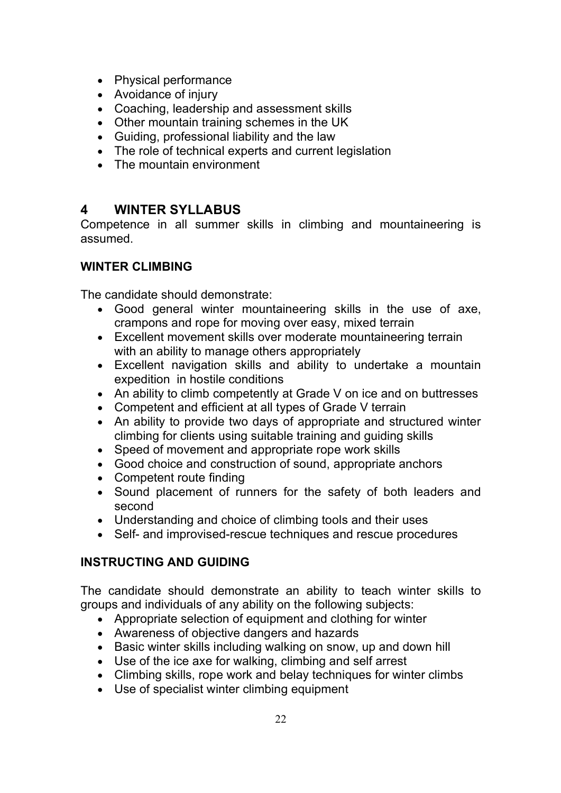- Physical performance
- Avoidance of injury
- Coaching, leadership and assessment skills
- Other mountain training schemes in the UK
- Guiding, professional liability and the law
- The role of technical experts and current legislation
- The mountain environment

# **4 WINTER SYLLABUS**

Competence in all summer skills in climbing and mountaineering is assumed.

### **WINTER CLIMBING**

The candidate should demonstrate:

- Good general winter mountaineering skills in the use of axe, crampons and rope for moving over easy, mixed terrain
- Excellent movement skills over moderate mountaineering terrain with an ability to manage others appropriately
- Excellent navigation skills and ability to undertake a mountain expedition in hostile conditions
- An ability to climb competently at Grade V on ice and on buttresses
- Competent and efficient at all types of Grade V terrain
- An ability to provide two days of appropriate and structured winter climbing for clients using suitable training and guiding skills
- Speed of movement and appropriate rope work skills
- Good choice and construction of sound, appropriate anchors
- Competent route finding
- Sound placement of runners for the safety of both leaders and second
- Understanding and choice of climbing tools and their uses
- Self- and improvised-rescue techniques and rescue procedures

### **INSTRUCTING AND GUIDING**

The candidate should demonstrate an ability to teach winter skills to groups and individuals of any ability on the following subjects:

- Appropriate selection of equipment and clothing for winter
- Awareness of objective dangers and hazards
- Basic winter skills including walking on snow, up and down hill
- Use of the ice axe for walking, climbing and self arrest
- Climbing skills, rope work and belay techniques for winter climbs
- Use of specialist winter climbing equipment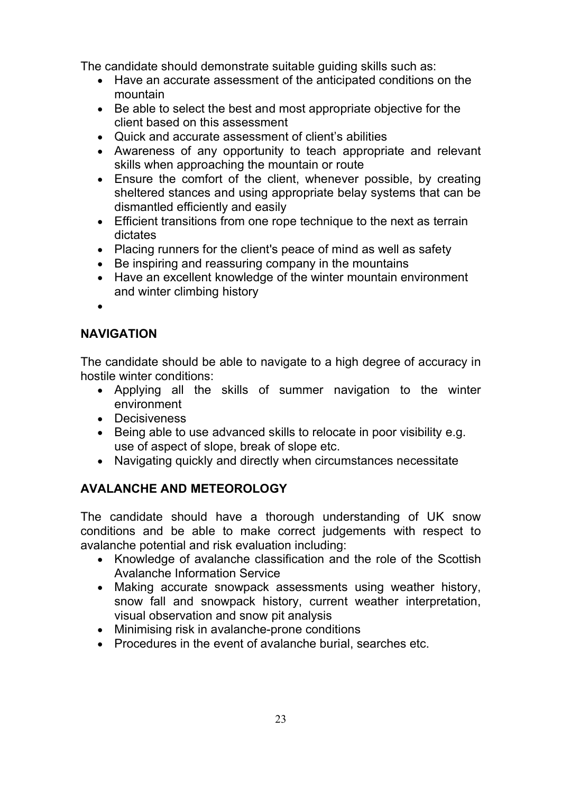The candidate should demonstrate suitable guiding skills such as:

- Have an accurate assessment of the anticipated conditions on the mountain
- Be able to select the best and most appropriate objective for the client based on this assessment
- Quick and accurate assessment of client's abilities
- Awareness of any opportunity to teach appropriate and relevant skills when approaching the mountain or route
- Ensure the comfort of the client, whenever possible, by creating sheltered stances and using appropriate belay systems that can be dismantled efficiently and easily
- Efficient transitions from one rope technique to the next as terrain dictates
- Placing runners for the client's peace of mind as well as safety
- Be inspiring and reassuring company in the mountains
- Have an excellent knowledge of the winter mountain environment and winter climbing history

•

### **NAVIGATION**

The candidate should be able to navigate to a high degree of accuracy in hostile winter conditions:

- Applying all the skills of summer navigation to the winter environment
- Decisiveness
- Being able to use advanced skills to relocate in poor visibility e.g. use of aspect of slope, break of slope etc.
- Navigating quickly and directly when circumstances necessitate

# **AVALANCHE AND METEOROLOGY**

The candidate should have a thorough understanding of UK snow conditions and be able to make correct judgements with respect to avalanche potential and risk evaluation including:

- Knowledge of avalanche classification and the role of the Scottish Avalanche Information Service
- Making accurate snowpack assessments using weather history, snow fall and snowpack history, current weather interpretation, visual observation and snow pit analysis
- Minimising risk in avalanche-prone conditions
- Procedures in the event of avalanche burial, searches etc.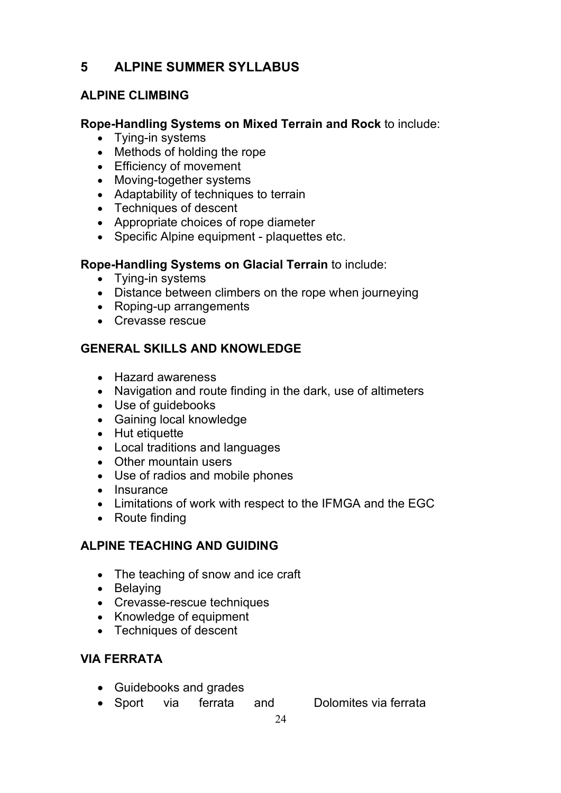# **5 ALPINE SUMMER SYLLABUS**

### **ALPINE CLIMBING**

#### **Rope-Handling Systems on Mixed Terrain and Rock** to include:

- Tying-in systems
- Methods of holding the rope
- Efficiency of movement
- Moving-together systems
- Adaptability of techniques to terrain
- Techniques of descent
- Appropriate choices of rope diameter
- Specific Alpine equipment plaquettes etc.

#### **Rope-Handling Systems on Glacial Terrain** to include:

- Tying-in systems
- Distance between climbers on the rope when journeying
- Roping-up arrangements
- Crevasse rescue

### **GENERAL SKILLS AND KNOWLEDGE**

- Hazard awareness
- Navigation and route finding in the dark, use of altimeters
- Use of guidebooks
- Gaining local knowledge
- Hut etiquette
- Local traditions and languages
- Other mountain users
- Use of radios and mobile phones
- Insurance
- Limitations of work with respect to the IFMGA and the EGC
- Route finding

### **ALPINE TEACHING AND GUIDING**

- The teaching of snow and ice craft
- Belaying
- Crevasse-rescue techniques
- Knowledge of equipment
- Techniques of descent

### **VIA FERRATA**

- Guidebooks and grades
- Sport via ferrata and Dolomites via ferrata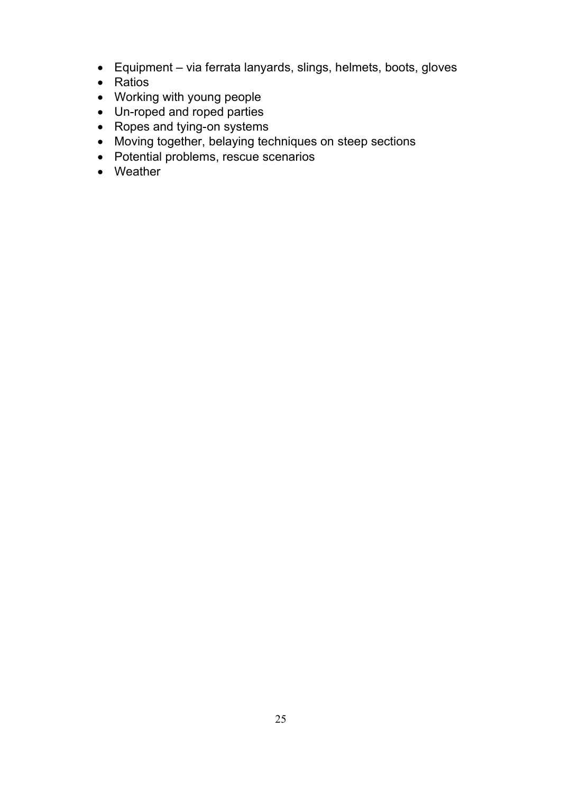- Equipment via ferrata lanyards, slings, helmets, boots, gloves
- Ratios
- Working with young people
- Un-roped and roped parties
- Ropes and tying-on systems
- Moving together, belaying techniques on steep sections
- Potential problems, rescue scenarios
- Weather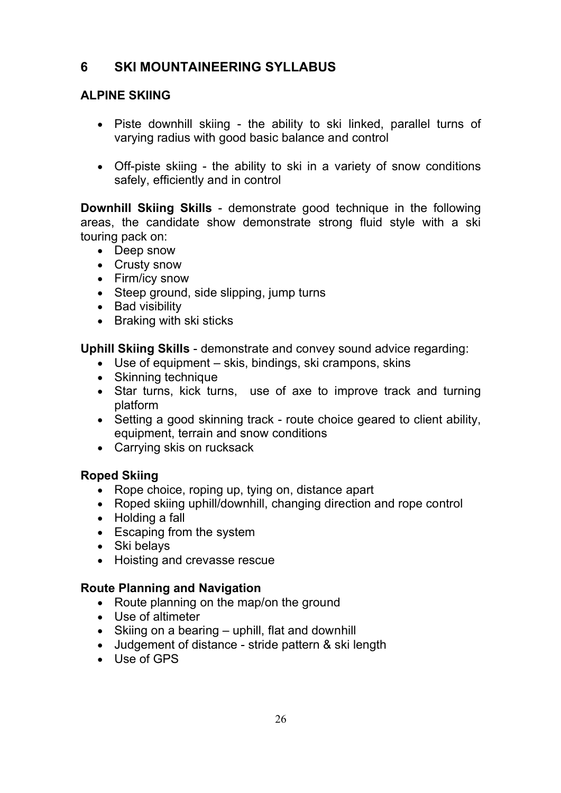# **6 SKI MOUNTAINEERING SYLLABUS**

### **ALPINE SKIING**

- Piste downhill skiing the ability to ski linked, parallel turns of varying radius with good basic balance and control
- Off-piste skiing the ability to ski in a variety of snow conditions safely, efficiently and in control

**Downhill Skiing Skills** - demonstrate good technique in the following areas, the candidate show demonstrate strong fluid style with a ski touring pack on:

- Deep snow
- Crusty snow
- Firm/icy snow
- Steep ground, side slipping, jump turns
- Bad visibility
- Braking with ski sticks

**Uphill Skiing Skills** - demonstrate and convey sound advice regarding:

- Use of equipment skis, bindings, ski crampons, skins
- Skinning technique
- Star turns, kick turns, use of axe to improve track and turning platform
- Setting a good skinning track route choice geared to client ability, equipment, terrain and snow conditions
- Carrying skis on rucksack

### **Roped Skiing**

- Rope choice, roping up, tying on, distance apart
- Roped skiing uphill/downhill, changing direction and rope control
- Holding a fall
- Escaping from the system
- Ski belays
- Hoisting and crevasse rescue

#### **Route Planning and Navigation**

- Route planning on the map/on the ground
- Use of altimeter
- Skiing on a bearing uphill, flat and downhill
- Judgement of distance stride pattern & ski length
- Use of GPS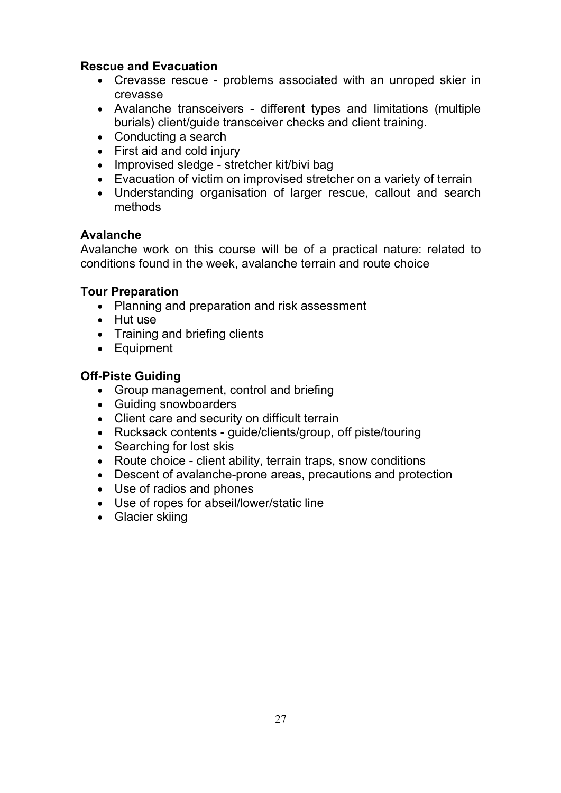#### **Rescue and Evacuation**

- Crevasse rescue problems associated with an unroped skier in crevasse
- Avalanche transceivers different types and limitations (multiple burials) client/guide transceiver checks and client training.
- Conducting a search
- First aid and cold injury
- Improvised sledge stretcher kit/bivi bag
- Evacuation of victim on improvised stretcher on a variety of terrain
- Understanding organisation of larger rescue, callout and search methods

#### **Avalanche**

Avalanche work on this course will be of a practical nature: related to conditions found in the week, avalanche terrain and route choice

#### **Tour Preparation**

- Planning and preparation and risk assessment
- Hut use
- Training and briefing clients
- Equipment

### **Off-Piste Guiding**

- Group management, control and briefing
- Guiding snowboarders
- Client care and security on difficult terrain
- Rucksack contents guide/clients/group, off piste/touring
- Searching for lost skis
- Route choice client ability, terrain traps, snow conditions
- Descent of avalanche-prone areas, precautions and protection
- Use of radios and phones
- Use of ropes for abseil/lower/static line
- Glacier skiing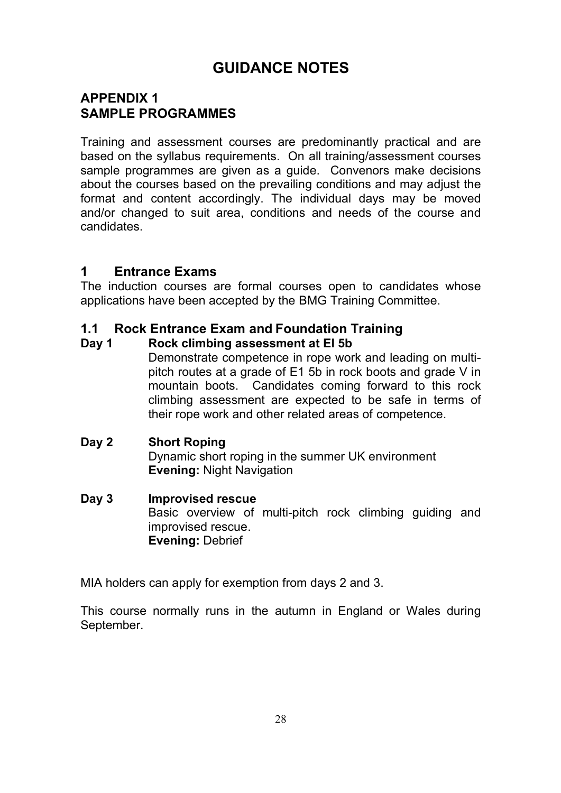# **GUIDANCE NOTES**

# **APPENDIX 1 SAMPLE PROGRAMMES**

Training and assessment courses are predominantly practical and are based on the syllabus requirements. On all training/assessment courses sample programmes are given as a guide. Convenors make decisions about the courses based on the prevailing conditions and may adjust the format and content accordingly. The individual days may be moved and/or changed to suit area, conditions and needs of the course and candidates.

### **1 Entrance Exams**

The induction courses are formal courses open to candidates whose applications have been accepted by the BMG Training Committee.

### **1.1 Rock Entrance Exam and Foundation Training**

#### **Day 1 Rock climbing assessment at El 5b**

Demonstrate competence in rope work and leading on multipitch routes at a grade of E1 5b in rock boots and grade V in mountain boots. Candidates coming forward to this rock climbing assessment are expected to be safe in terms of their rope work and other related areas of competence.

#### **Day 2 Short Roping**

Dynamic short roping in the summer UK environment **Evening:** Night Navigation

#### **Day 3 Improvised rescue**

Basic overview of multi-pitch rock climbing guiding and improvised rescue. **Evening:** Debrief

MIA holders can apply for exemption from days 2 and 3.

This course normally runs in the autumn in England or Wales during September.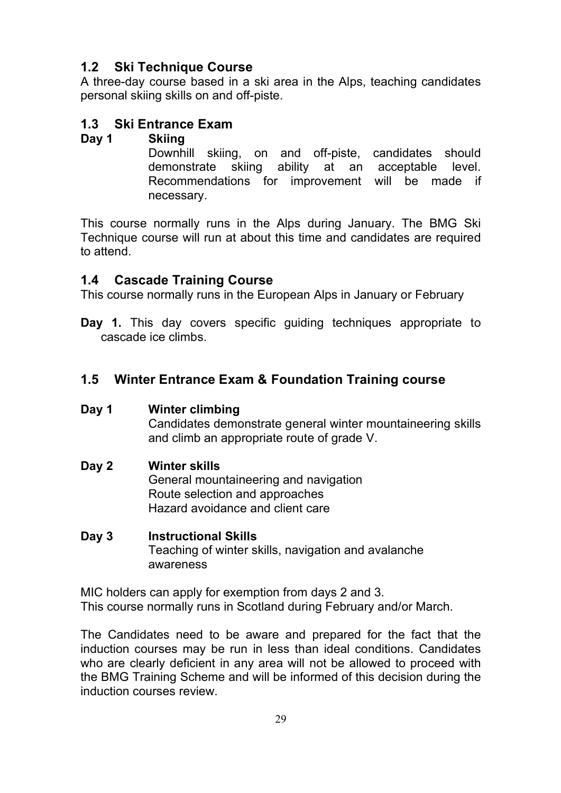# **1.2 Ski Technique Course**

A three-day course based in a ski area in the Alps, teaching candidates personal skiing skills on and off-piste.

### **1.3 Ski Entrance Exam**

#### **Day 1 Skiing**

Downhill skiing, on and off-piste, candidates should demonstrate skiing ability at an acceptable level. Recommendations for improvement will be made if necessary.

This course normally runs in the Alps during January. The BMG Ski Technique course will run at about this time and candidates are required to attend.

### **1.4 Cascade Training Course**

This course normally runs in the European Alps in January or February

**Day 1.** This day covers specific guiding techniques appropriate to cascade ice climbs.

# **1.5 Winter Entrance Exam & Foundation Training course**

### **Day 1 Winter climbing**

Candidates demonstrate general winter mountaineering skills and climb an appropriate route of grade V.

### **Day 2 Winter skills**

General mountaineering and navigation Route selection and approaches Hazard avoidance and client care

#### **Day 3 Instructional Skills**

Teaching of winter skills, navigation and avalanche awareness

MIC holders can apply for exemption from days 2 and 3. This course normally runs in Scotland during February and/or March.

The Candidates need to be aware and prepared for the fact that the induction courses may be run in less than ideal conditions. Candidates who are clearly deficient in any area will not be allowed to proceed with the BMG Training Scheme and will be informed of this decision during the induction courses review.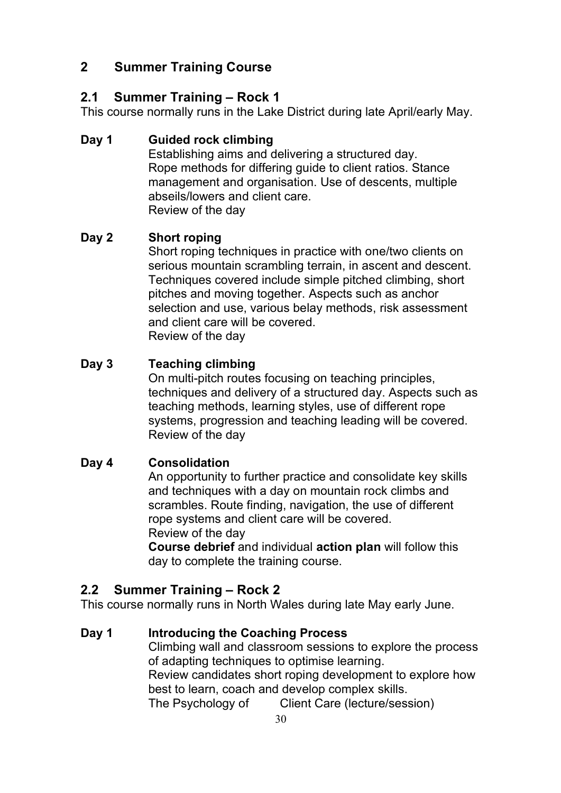# **2 Summer Training Course**

### **2.1 Summer Training – Rock 1**

This course normally runs in the Lake District during late April/early May.

### **Day 1 Guided rock climbing**

Establishing aims and delivering a structured day. Rope methods for differing guide to client ratios. Stance management and organisation. Use of descents, multiple abseils/lowers and client care. Review of the day

### **Day 2 Short roping**

Short roping techniques in practice with one/two clients on serious mountain scrambling terrain, in ascent and descent. Techniques covered include simple pitched climbing, short pitches and moving together. Aspects such as anchor selection and use, various belay methods, risk assessment and client care will be covered. Review of the day

#### **Day 3 Teaching climbing**

On multi-pitch routes focusing on teaching principles, techniques and delivery of a structured day. Aspects such as teaching methods, learning styles, use of different rope systems, progression and teaching leading will be covered. Review of the day

### **Day 4 Consolidation**

An opportunity to further practice and consolidate key skills and techniques with a day on mountain rock climbs and scrambles. Route finding, navigation, the use of different rope systems and client care will be covered. Review of the day

**Course debrief** and individual **action plan** will follow this day to complete the training course.

# **2.2 Summer Training – Rock 2**

This course normally runs in North Wales during late May early June.

### **Day 1 Introducing the Coaching Process**

Climbing wall and classroom sessions to explore the process of adapting techniques to optimise learning. Review candidates short roping development to explore how best to learn, coach and develop complex skills. The Psychology of Client Care (lecture/session)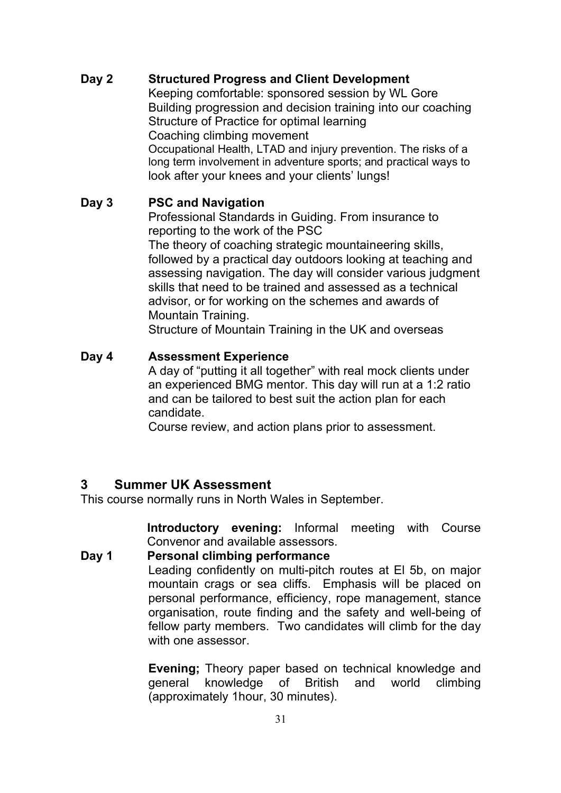#### **Day 2 Structured Progress and Client Development**

Keeping comfortable: sponsored session by WL Gore Building progression and decision training into our coaching Structure of Practice for optimal learning Coaching climbing movement Occupational Health, LTAD and injury prevention. The risks of a long term involvement in adventure sports; and practical ways to look after your knees and your clients' lungs!

#### **Day 3 PSC and Navigation**

Professional Standards in Guiding. From insurance to reporting to the work of the PSC The theory of coaching strategic mountaineering skills, followed by a practical day outdoors looking at teaching and assessing navigation. The day will consider various judgment skills that need to be trained and assessed as a technical advisor, or for working on the schemes and awards of Mountain Training.

Structure of Mountain Training in the UK and overseas

#### **Day 4 Assessment Experience**

A day of "putting it all together" with real mock clients under an experienced BMG mentor. This day will run at a 1:2 ratio and can be tailored to best suit the action plan for each candidate.

Course review, and action plans prior to assessment.

#### **3 Summer UK Assessment**

This course normally runs in North Wales in September.

**Introductory evening:** Informal meeting with Course Convenor and available assessors.

### **Day 1 Personal climbing performance** Leading confidently on multi-pitch routes at El 5b, on major mountain crags or sea cliffs. Emphasis will be placed on personal performance, efficiency, rope management, stance organisation, route finding and the safety and well-being of fellow party members. Two candidates will climb for the day with one assessor.

**Evening;** Theory paper based on technical knowledge and general knowledge of British and world climbing (approximately 1hour, 30 minutes).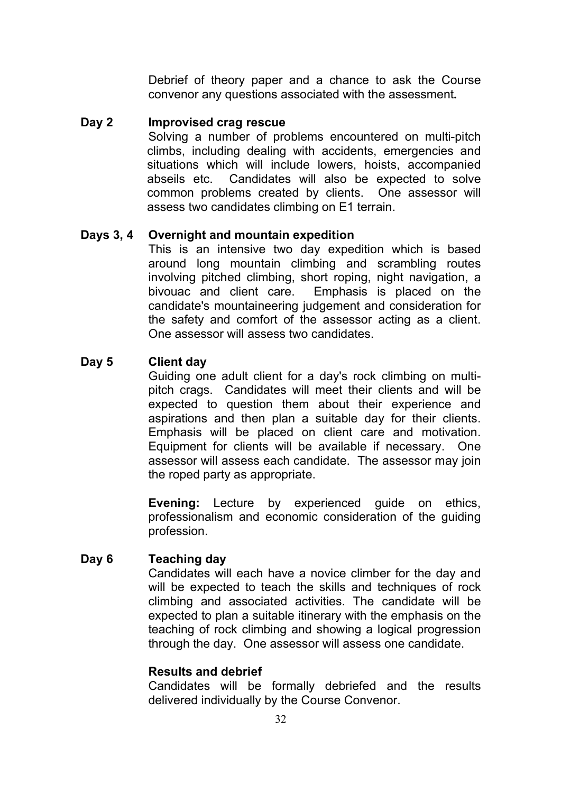Debrief of theory paper and a chance to ask the Course convenor any questions associated with the assessment**.**

#### **Day 2 Improvised crag rescue**

Solving a number of problems encountered on multi-pitch climbs, including dealing with accidents, emergencies and situations which will include lowers, hoists, accompanied abseils etc. Candidates will also be expected to solve common problems created by clients. One assessor will assess two candidates climbing on E1 terrain.

#### **Days 3, 4 Overnight and mountain expedition**

This is an intensive two day expedition which is based around long mountain climbing and scrambling routes involving pitched climbing, short roping, night navigation, a bivouac and client care. Emphasis is placed on the candidate's mountaineering judgement and consideration for the safety and comfort of the assessor acting as a client. One assessor will assess two candidates.

#### **Day 5 Client day**

Guiding one adult client for a day's rock climbing on multipitch crags. Candidates will meet their clients and will be expected to question them about their experience and aspirations and then plan a suitable day for their clients. Emphasis will be placed on client care and motivation. Equipment for clients will be available if necessary. One assessor will assess each candidate. The assessor may join the roped party as appropriate.

**Evening:** Lecture by experienced guide on ethics, professionalism and economic consideration of the guiding profession.

#### **Day 6 Teaching day**

Candidates will each have a novice climber for the day and will be expected to teach the skills and techniques of rock climbing and associated activities. The candidate will be expected to plan a suitable itinerary with the emphasis on the teaching of rock climbing and showing a logical progression through the day. One assessor will assess one candidate.

#### **Results and debrief**

Candidates will be formally debriefed and the results delivered individually by the Course Convenor.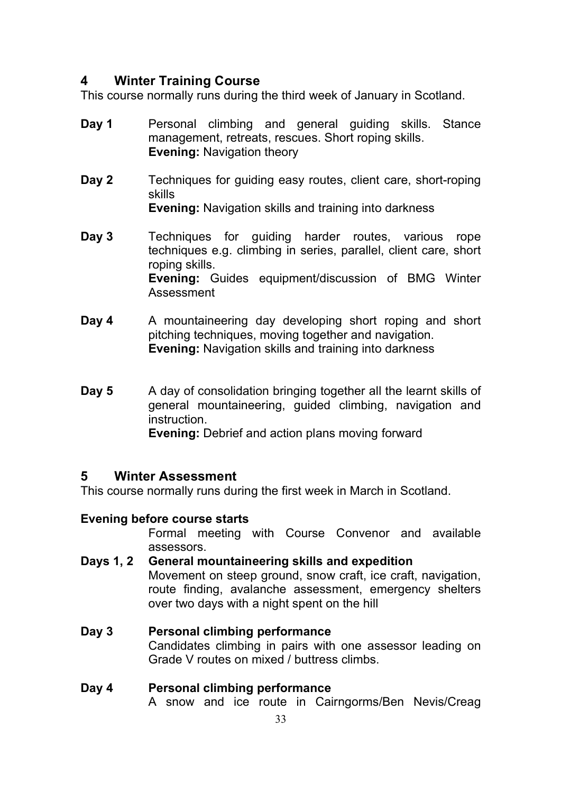### **4 Winter Training Course**

This course normally runs during the third week of January in Scotland.

- **Day 1** Personal climbing and general guiding skills. Stance management, retreats, rescues. Short roping skills. **Evening:** Navigation theory
- **Day 2** Techniques for guiding easy routes, client care, short-roping skills

**Evening:** Navigation skills and training into darkness

- **Day 3** Techniques for guiding harder routes, various rope techniques e.g. climbing in series, parallel, client care, short roping skills. **Evening:** Guides equipment/discussion of BMG Winter Assessment
- **Day 4** A mountaineering day developing short roping and short pitching techniques, moving together and navigation. **Evening:** Navigation skills and training into darkness
- **Day 5** A day of consolidation bringing together all the learnt skills of general mountaineering, guided climbing, navigation and instruction. **Evening:** Debrief and action plans moving forward

### **5 Winter Assessment**

This course normally runs during the first week in March in Scotland.

#### **Evening before course starts**

Formal meeting with Course Convenor and available assessors.

- **Days 1, 2 General mountaineering skills and expedition** Movement on steep ground, snow craft, ice craft, navigation, route finding, avalanche assessment, emergency shelters over two days with a night spent on the hill
- **Day 3 Personal climbing performance** Candidates climbing in pairs with one assessor leading on Grade V routes on mixed / buttress climbs.

# **Day 4 Personal climbing performance**

A snow and ice route in Cairngorms/Ben Nevis/Creag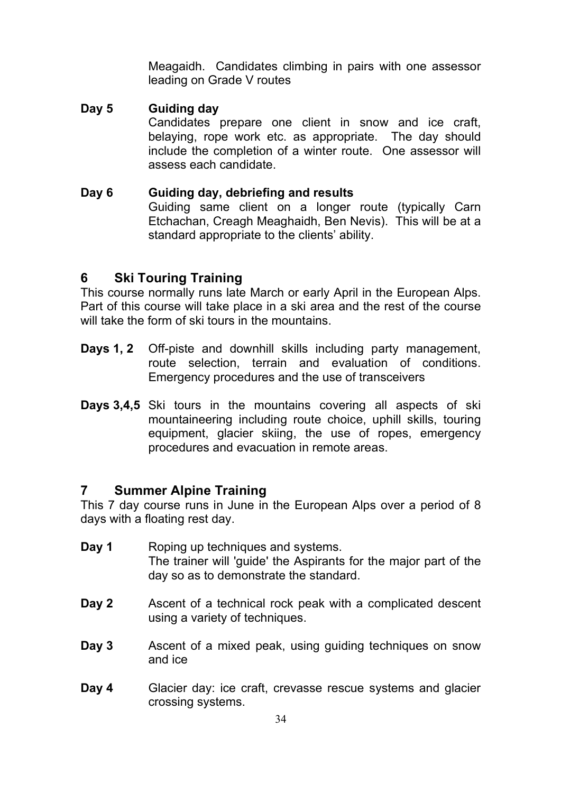Meagaidh. Candidates climbing in pairs with one assessor leading on Grade V routes

- **Day 5 Guiding day** Candidates prepare one client in snow and ice craft, belaying, rope work etc. as appropriate. The day should include the completion of a winter route. One assessor will assess each candidate.
- **Day 6 Guiding day, debriefing and results** Guiding same client on a longer route (typically Carn Etchachan, Creagh Meaghaidh, Ben Nevis). This will be at a standard appropriate to the clients' ability.

#### **6 Ski Touring Training**

This course normally runs late March or early April in the European Alps. Part of this course will take place in a ski area and the rest of the course will take the form of ski tours in the mountains.

- **Days 1, 2** Off-piste and downhill skills including party management, route selection, terrain and evaluation of conditions. Emergency procedures and the use of transceivers
- **Days 3,4,5** Ski tours in the mountains covering all aspects of ski mountaineering including route choice, uphill skills, touring equipment, glacier skiing, the use of ropes, emergency procedures and evacuation in remote areas.

### **7 Summer Alpine Training**

This 7 day course runs in June in the European Alps over a period of 8 days with a floating rest day.

- **Day 1** Roping up techniques and systems. The trainer will 'guide' the Aspirants for the major part of the day so as to demonstrate the standard.
- **Day 2** Ascent of a technical rock peak with a complicated descent using a variety of techniques.
- **Day 3** Ascent of a mixed peak, using guiding techniques on snow and ice
- **Day 4** Glacier day: ice craft, crevasse rescue systems and glacier crossing systems.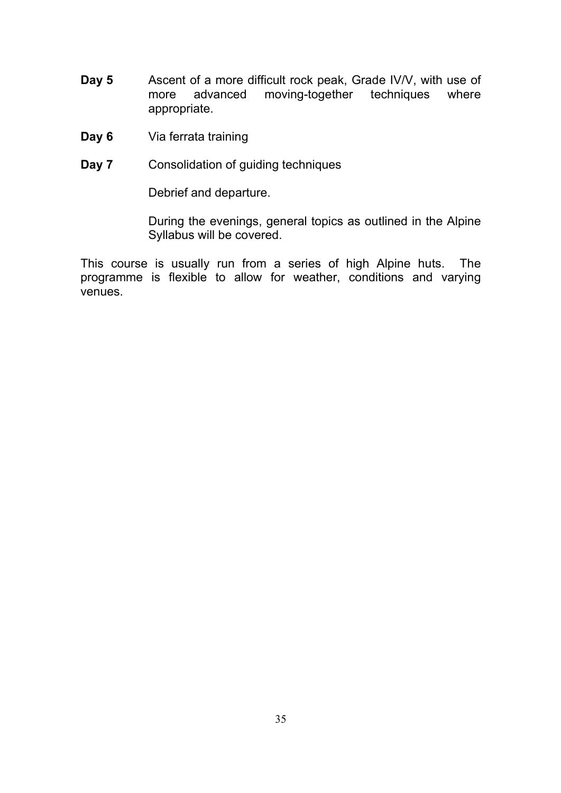- **Day 5** Ascent of a more difficult rock peak, Grade IV/V, with use of more advanced moving-together techniques where appropriate.
- **Day 6** Via ferrata training
- **Day 7** Consolidation of guiding techniques

Debrief and departure.

During the evenings, general topics as outlined in the Alpine Syllabus will be covered.

This course is usually run from a series of high Alpine huts. The programme is flexible to allow for weather, conditions and varying venues.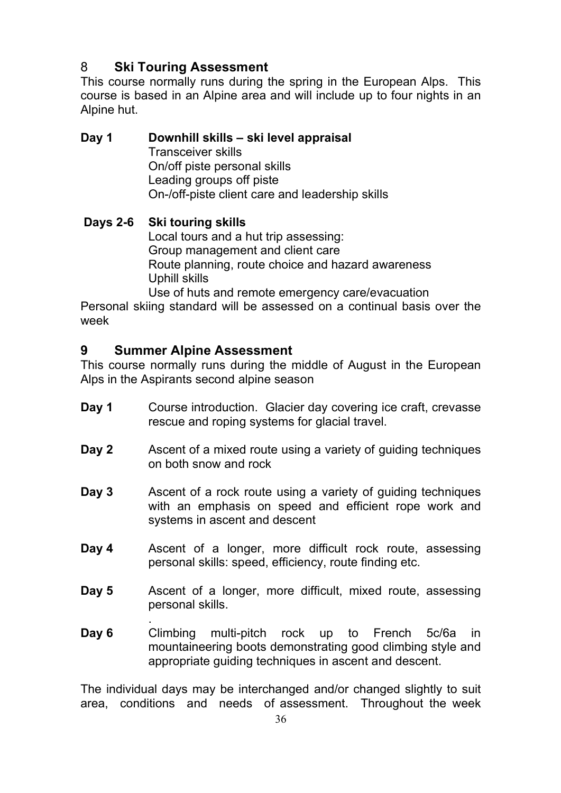# 8 **Ski Touring Assessment**

This course normally runs during the spring in the European Alps. This course is based in an Alpine area and will include up to four nights in an Alpine hut.

**Day 1 Downhill skills – ski level appraisal** Transceiver skills On/off piste personal skills Leading groups off piste On-/off-piste client care and leadership skills

### **Days 2-6 Ski touring skills**

Local tours and a hut trip assessing: Group management and client care Route planning, route choice and hazard awareness Uphill skills

Use of huts and remote emergency care/evacuation

Personal skiing standard will be assessed on a continual basis over the week

### **9 Summer Alpine Assessment**

This course normally runs during the middle of August in the European Alps in the Aspirants second alpine season

- **Day 1** Course introduction. Glacier day covering ice craft, crevasse rescue and roping systems for glacial travel.
- **Day 2** Ascent of a mixed route using a variety of guiding techniques on both snow and rock
- **Day 3** Ascent of a rock route using a variety of guiding techniques with an emphasis on speed and efficient rope work and systems in ascent and descent
- **Day 4** Ascent of a longer, more difficult rock route, assessing personal skills: speed, efficiency, route finding etc.
- **Day 5** Ascent of a longer, more difficult, mixed route, assessing personal skills.
- . **Day 6** Climbing multi-pitch rock up to French 5c/6a in mountaineering boots demonstrating good climbing style and appropriate guiding techniques in ascent and descent.

The individual days may be interchanged and/or changed slightly to suit area, conditions and needs of assessment. Throughout the week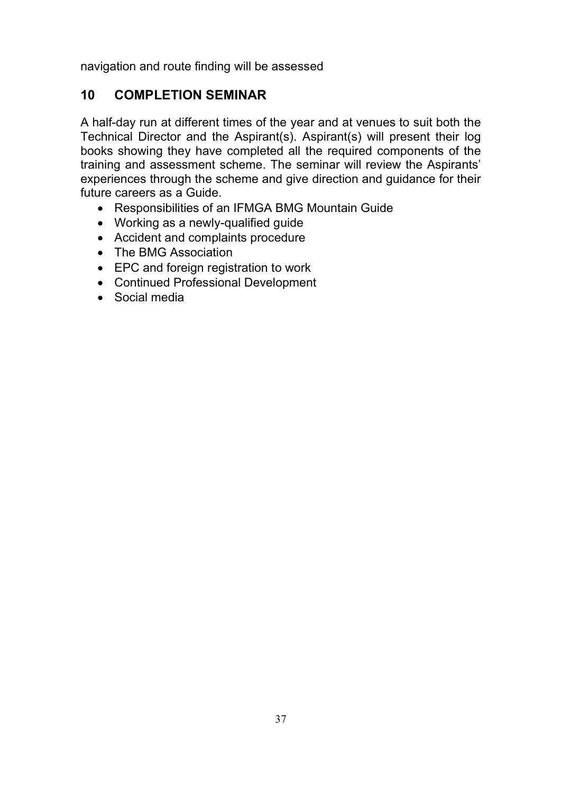navigation and route finding will be assessed

# **10 COMPLETION SEMINAR**

A half-day run at different times of the year and at venues to suit both the Technical Director and the Aspirant(s). Aspirant(s) will present their log books showing they have completed all the required components of the training and assessment scheme. The seminar will review the Aspirants' experiences through the scheme and give direction and guidance for their future careers as a Guide.

- Responsibilities of an IFMGA BMG Mountain Guide
- Working as a newly-qualified guide
- Accident and complaints procedure
- The BMG Association
- EPC and foreign registration to work
- Continued Professional Development
- Social media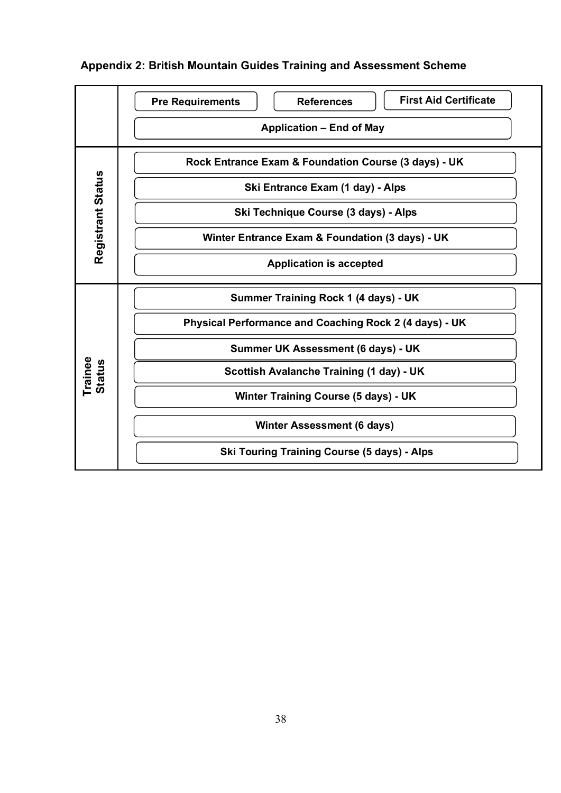|                          | <b>First Aid Certificate</b><br><b>Pre Requirements</b><br><b>References</b> |
|--------------------------|------------------------------------------------------------------------------|
|                          | <b>Application – End of May</b>                                              |
|                          | Rock Entrance Exam & Foundation Course (3 days) - UK                         |
| Registrant Status        | Ski Entrance Exam (1 day) - Alps                                             |
|                          | Ski Technique Course (3 days) - Alps                                         |
|                          | Winter Entrance Exam & Foundation (3 days) - UK                              |
|                          | <b>Application is accepted</b>                                               |
|                          | Summer Training Rock 1 (4 days) - UK                                         |
|                          | Physical Performance and Coaching Rock 2 (4 days) - UK                       |
|                          | Summer UK Assessment (6 days) - UK                                           |
| Trainee<br><b>Status</b> | Scottish Avalanche Training (1 day) - UK                                     |
|                          | <b>Winter Training Course (5 days) - UK</b>                                  |
|                          | <b>Winter Assessment (6 days)</b>                                            |
|                          | <b>Ski Touring Training Course (5 days) - Alps</b>                           |

# **Appendix 2: British Mountain Guides Training and Assessment Scheme**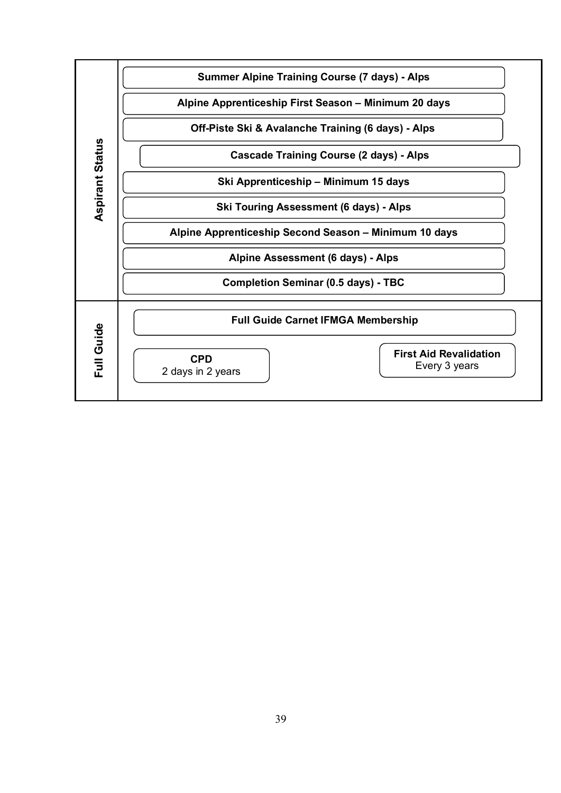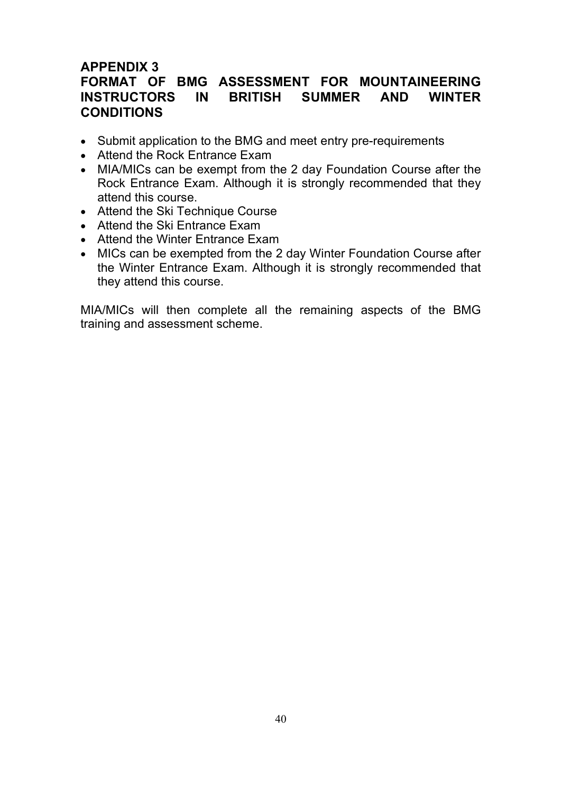### **APPENDIX 3 FORMAT OF BMG ASSESSMENT FOR MOUNTAINEERING INSTRUCTORS IN BRITISH SUMMER AND WINTER CONDITIONS**

- Submit application to the BMG and meet entry pre-requirements
- Attend the Rock Entrance Exam
- MIA/MICs can be exempt from the 2 day Foundation Course after the Rock Entrance Exam. Although it is strongly recommended that they attend this course.
- Attend the Ski Technique Course
- Attend the Ski Entrance Exam
- Attend the Winter Entrance Exam
- MICs can be exempted from the 2 day Winter Foundation Course after the Winter Entrance Exam. Although it is strongly recommended that they attend this course.

MIA/MICs will then complete all the remaining aspects of the BMG training and assessment scheme.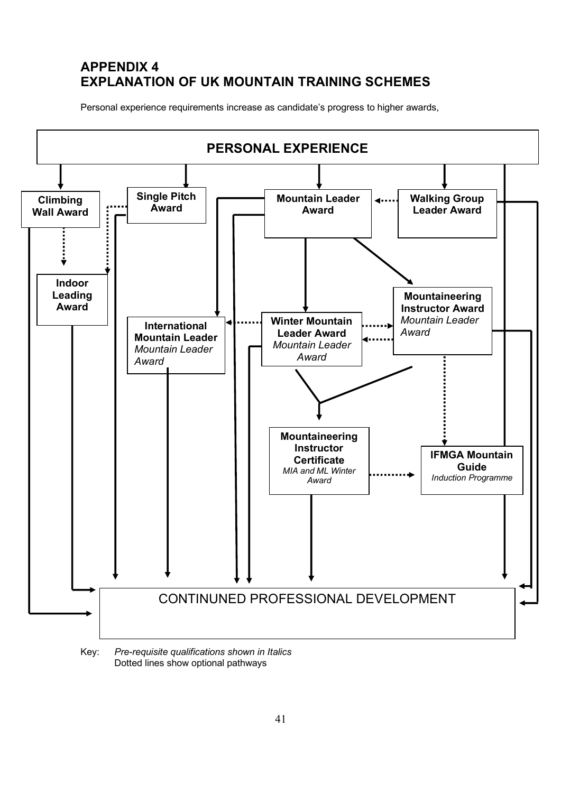# **APPENDIX 4 EXPLANATION OF UK MOUNTAIN TRAINING SCHEMES**

Personal experience requirements increase as candidate's progress to higher awards,



Key: *Pre-requisite qualifications shown in Italics* Dotted lines show optional pathways